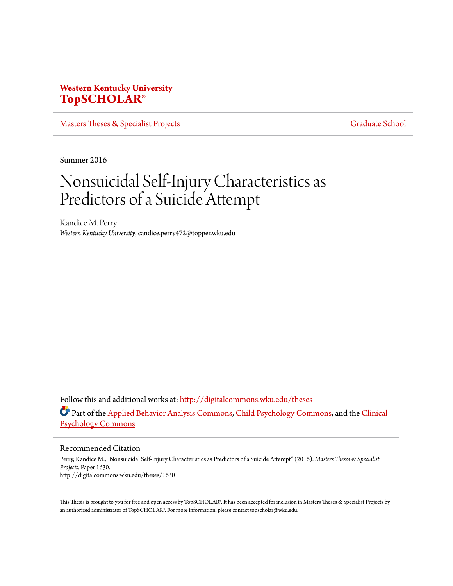# **Western Kentucky University [TopSCHOLAR®](http://digitalcommons.wku.edu?utm_source=digitalcommons.wku.edu%2Ftheses%2F1630&utm_medium=PDF&utm_campaign=PDFCoverPages)**

[Masters Theses & Specialist Projects](http://digitalcommons.wku.edu/theses?utm_source=digitalcommons.wku.edu%2Ftheses%2F1630&utm_medium=PDF&utm_campaign=PDFCoverPages) [Graduate School](http://digitalcommons.wku.edu/Graduate?utm_source=digitalcommons.wku.edu%2Ftheses%2F1630&utm_medium=PDF&utm_campaign=PDFCoverPages) Graduate School

Summer 2016

# Nonsuicidal Self-Injury Characteristics as Predictors of a Suicide Attempt

Kandice M. Perry *Western Kentucky University*, candice.perry472@topper.wku.edu

Follow this and additional works at: [http://digitalcommons.wku.edu/theses](http://digitalcommons.wku.edu/theses?utm_source=digitalcommons.wku.edu%2Ftheses%2F1630&utm_medium=PDF&utm_campaign=PDFCoverPages) Part of the [Applied Behavior Analysis Commons](http://network.bepress.com/hgg/discipline/1235?utm_source=digitalcommons.wku.edu%2Ftheses%2F1630&utm_medium=PDF&utm_campaign=PDFCoverPages), [Child Psychology Commons](http://network.bepress.com/hgg/discipline/1023?utm_source=digitalcommons.wku.edu%2Ftheses%2F1630&utm_medium=PDF&utm_campaign=PDFCoverPages), and the [Clinical](http://network.bepress.com/hgg/discipline/406?utm_source=digitalcommons.wku.edu%2Ftheses%2F1630&utm_medium=PDF&utm_campaign=PDFCoverPages) [Psychology Commons](http://network.bepress.com/hgg/discipline/406?utm_source=digitalcommons.wku.edu%2Ftheses%2F1630&utm_medium=PDF&utm_campaign=PDFCoverPages)

Recommended Citation

Perry, Kandice M., "Nonsuicidal Self-Injury Characteristics as Predictors of a Suicide Attempt" (2016). *Masters Theses & Specialist Projects.* Paper 1630. http://digitalcommons.wku.edu/theses/1630

This Thesis is brought to you for free and open access by TopSCHOLAR®. It has been accepted for inclusion in Masters Theses & Specialist Projects by an authorized administrator of TopSCHOLAR®. For more information, please contact topscholar@wku.edu.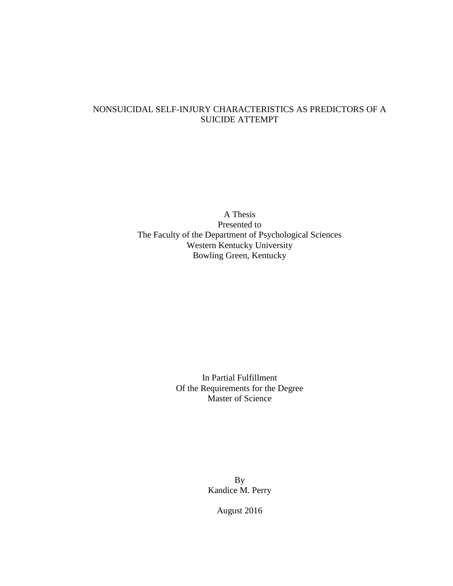# NONSUICIDAL SELF-INJURY CHARACTERISTICS AS PREDICTORS OF A SUICIDE ATTEMPT

A Thesis Presented to The Faculty of the Department of Psychological Sciences Western Kentucky University Bowling Green, Kentucky

> In Partial Fulfillment Of the Requirements for the Degree Master of Science

> > By Kandice M. Perry

> > > August 2016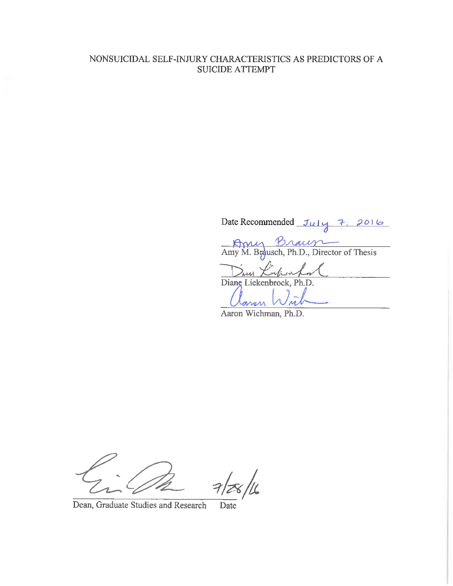# NONSUICIDAL SELF-INJURY CHARACTERISTICS AS PREDICTORS OF A **SUICIDE ATTEMPT**

Date Recommended July 7 2016

Amy M. Braum

Diane Lickenbrock, Ph.D.

Aaron Wichman, Ph.D.

Dean, Graduate Studies and Research Date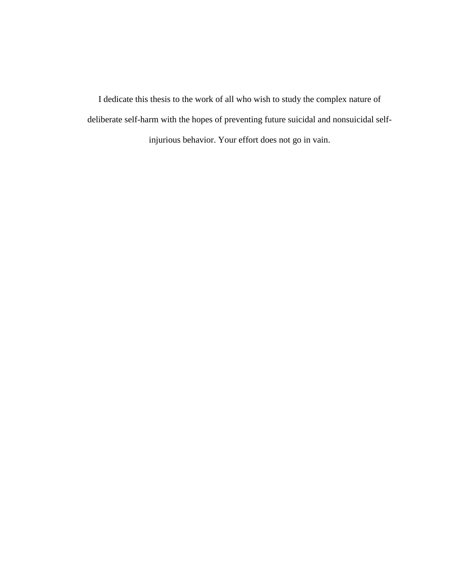I dedicate this thesis to the work of all who wish to study the complex nature of deliberate self-harm with the hopes of preventing future suicidal and nonsuicidal selfinjurious behavior. Your effort does not go in vain.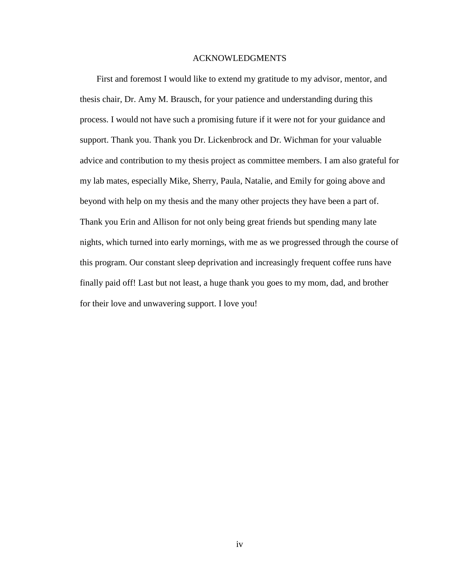## ACKNOWLEDGMENTS

First and foremost I would like to extend my gratitude to my advisor, mentor, and thesis chair, Dr. Amy M. Brausch, for your patience and understanding during this process. I would not have such a promising future if it were not for your guidance and support. Thank you. Thank you Dr. Lickenbrock and Dr. Wichman for your valuable advice and contribution to my thesis project as committee members. I am also grateful for my lab mates, especially Mike, Sherry, Paula, Natalie, and Emily for going above and beyond with help on my thesis and the many other projects they have been a part of. Thank you Erin and Allison for not only being great friends but spending many late nights, which turned into early mornings, with me as we progressed through the course of this program. Our constant sleep deprivation and increasingly frequent coffee runs have finally paid off! Last but not least, a huge thank you goes to my mom, dad, and brother for their love and unwavering support. I love you!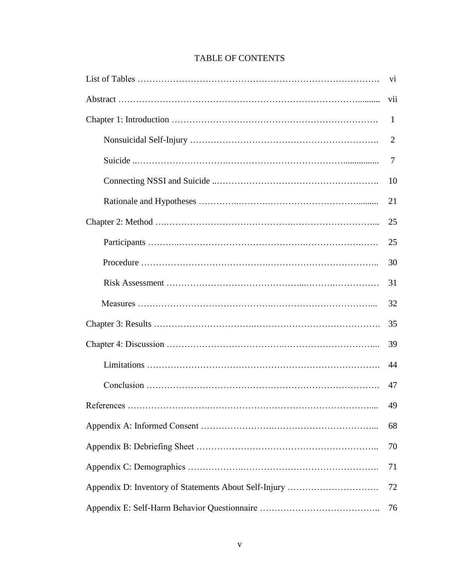|    | V11          |  |  |  |  |
|----|--------------|--|--|--|--|
|    | $\mathbf{1}$ |  |  |  |  |
|    | 2            |  |  |  |  |
|    | 7            |  |  |  |  |
|    | 10           |  |  |  |  |
|    | 21           |  |  |  |  |
|    | 25           |  |  |  |  |
|    | 25           |  |  |  |  |
|    | 30           |  |  |  |  |
|    | 31           |  |  |  |  |
|    | 32           |  |  |  |  |
|    | 35           |  |  |  |  |
|    | 39           |  |  |  |  |
|    | 44           |  |  |  |  |
|    | 47           |  |  |  |  |
|    | 49           |  |  |  |  |
|    | 68           |  |  |  |  |
|    |              |  |  |  |  |
|    |              |  |  |  |  |
|    |              |  |  |  |  |
| 76 |              |  |  |  |  |

# TABLE OF CONTENTS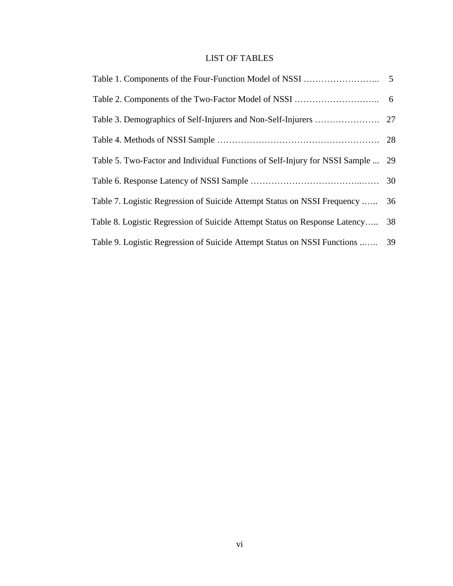# LIST OF TABLES

| Table 5. Two-Factor and Individual Functions of Self-Injury for NSSI Sample  29 |    |
|---------------------------------------------------------------------------------|----|
|                                                                                 |    |
| Table 7. Logistic Regression of Suicide Attempt Status on NSSI Frequency        | 36 |
| Table 8. Logistic Regression of Suicide Attempt Status on Response Latency      | 38 |
| Table 9. Logistic Regression of Suicide Attempt Status on NSSI Functions        | 39 |
|                                                                                 |    |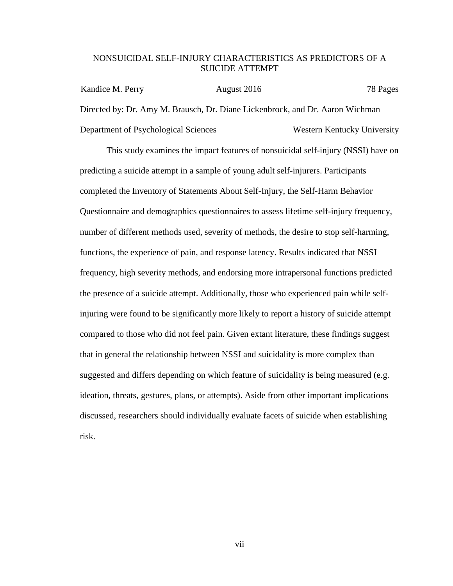## NONSUICIDAL SELF-INJURY CHARACTERISTICS AS PREDICTORS OF A SUICIDE ATTEMPT

Kandice M. Perry August 2016 78 Pages Directed by: Dr. Amy M. Brausch, Dr. Diane Lickenbrock, and Dr. Aaron Wichman Department of Psychological Sciences Western Kentucky University

This study examines the impact features of nonsuicidal self-injury (NSSI) have on predicting a suicide attempt in a sample of young adult self-injurers. Participants completed the Inventory of Statements About Self-Injury, the Self-Harm Behavior Questionnaire and demographics questionnaires to assess lifetime self-injury frequency, number of different methods used, severity of methods, the desire to stop self-harming, functions, the experience of pain, and response latency. Results indicated that NSSI frequency, high severity methods, and endorsing more intrapersonal functions predicted the presence of a suicide attempt. Additionally, those who experienced pain while selfinjuring were found to be significantly more likely to report a history of suicide attempt compared to those who did not feel pain. Given extant literature, these findings suggest that in general the relationship between NSSI and suicidality is more complex than suggested and differs depending on which feature of suicidality is being measured (e.g. ideation, threats, gestures, plans, or attempts). Aside from other important implications discussed, researchers should individually evaluate facets of suicide when establishing risk.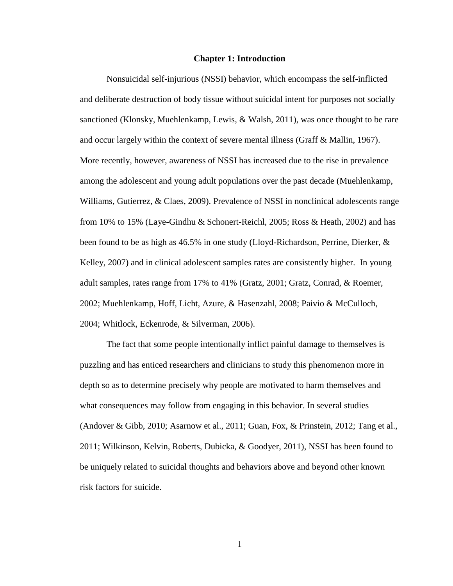#### **Chapter 1: Introduction**

Nonsuicidal self-injurious (NSSI) behavior, which encompass the self-inflicted and deliberate destruction of body tissue without suicidal intent for purposes not socially sanctioned (Klonsky, Muehlenkamp, Lewis, & Walsh, 2011), was once thought to be rare and occur largely within the context of severe mental illness (Graff & Mallin, 1967). More recently, however, awareness of NSSI has increased due to the rise in prevalence among the adolescent and young adult populations over the past decade (Muehlenkamp, Williams, Gutierrez, & Claes, 2009). Prevalence of NSSI in nonclinical adolescents range from 10% to 15% (Laye-Gindhu & Schonert-Reichl, 2005; Ross & Heath, 2002) and has been found to be as high as 46.5% in one study (Lloyd-Richardson, Perrine, Dierker, & Kelley, 2007) and in clinical adolescent samples rates are consistently higher. In young adult samples, rates range from 17% to 41% (Gratz, 2001; Gratz, Conrad, & Roemer, 2002; Muehlenkamp, Hoff, Licht, Azure, & Hasenzahl, 2008; Paivio & McCulloch, 2004; Whitlock, Eckenrode, & Silverman, 2006).

The fact that some people intentionally inflict painful damage to themselves is puzzling and has enticed researchers and clinicians to study this phenomenon more in depth so as to determine precisely why people are motivated to harm themselves and what consequences may follow from engaging in this behavior. In several studies (Andover & Gibb, 2010; Asarnow et al., 2011; Guan, Fox, & Prinstein, 2012; Tang et al., 2011; Wilkinson, Kelvin, Roberts, Dubicka, & Goodyer, 2011), NSSI has been found to be uniquely related to suicidal thoughts and behaviors above and beyond other known risk factors for suicide.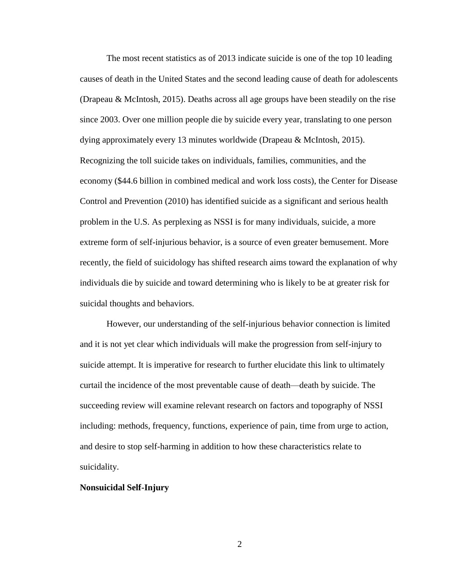The most recent statistics as of 2013 indicate suicide is one of the top 10 leading causes of death in the United States and the second leading cause of death for adolescents (Drapeau & McIntosh, 2015). Deaths across all age groups have been steadily on the rise since 2003. Over one million people die by suicide every year, translating to one person dying approximately every 13 minutes worldwide (Drapeau & McIntosh, 2015). Recognizing the toll suicide takes on individuals, families, communities, and the economy (\$44.6 billion in combined medical and work loss costs), the Center for Disease Control and Prevention (2010) has identified suicide as a significant and serious health problem in the U.S. As perplexing as NSSI is for many individuals, suicide, a more extreme form of self-injurious behavior, is a source of even greater bemusement. More recently, the field of suicidology has shifted research aims toward the explanation of why individuals die by suicide and toward determining who is likely to be at greater risk for suicidal thoughts and behaviors.

However, our understanding of the self-injurious behavior connection is limited and it is not yet clear which individuals will make the progression from self-injury to suicide attempt. It is imperative for research to further elucidate this link to ultimately curtail the incidence of the most preventable cause of death—death by suicide. The succeeding review will examine relevant research on factors and topography of NSSI including: methods, frequency, functions, experience of pain, time from urge to action, and desire to stop self-harming in addition to how these characteristics relate to suicidality.

## **Nonsuicidal Self-Injury**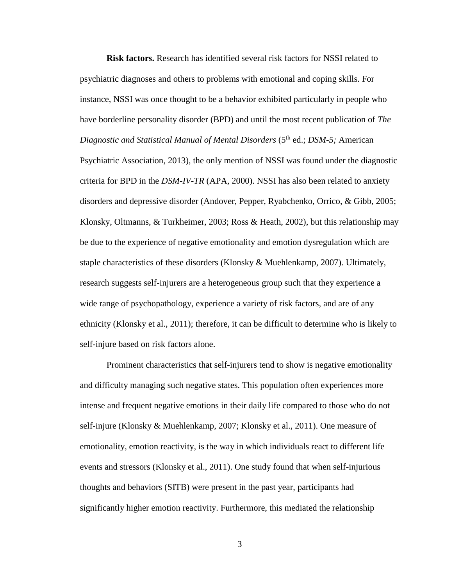**Risk factors.** Research has identified several risk factors for NSSI related to psychiatric diagnoses and others to problems with emotional and coping skills. For instance, NSSI was once thought to be a behavior exhibited particularly in people who have borderline personality disorder (BPD) and until the most recent publication of *The Diagnostic and Statistical Manual of Mental Disorders* (5<sup>th</sup> ed.; *DSM-5*; American Psychiatric Association, 2013), the only mention of NSSI was found under the diagnostic criteria for BPD in the *DSM-IV-TR* (APA, 2000). NSSI has also been related to anxiety disorders and depressive disorder (Andover, Pepper, Ryabchenko, Orrico, & Gibb, 2005; Klonsky, Oltmanns, & Turkheimer, 2003; Ross & Heath, 2002), but this relationship may be due to the experience of negative emotionality and emotion dysregulation which are staple characteristics of these disorders (Klonsky & Muehlenkamp, 2007). Ultimately, research suggests self-injurers are a heterogeneous group such that they experience a wide range of psychopathology, experience a variety of risk factors, and are of any ethnicity (Klonsky et al., 2011); therefore, it can be difficult to determine who is likely to self-injure based on risk factors alone.

Prominent characteristics that self-injurers tend to show is negative emotionality and difficulty managing such negative states. This population often experiences more intense and frequent negative emotions in their daily life compared to those who do not self-injure (Klonsky & Muehlenkamp, 2007; Klonsky et al., 2011). One measure of emotionality, emotion reactivity, is the way in which individuals react to different life events and stressors (Klonsky et al., 2011). One study found that when self-injurious thoughts and behaviors (SITB) were present in the past year, participants had significantly higher emotion reactivity. Furthermore, this mediated the relationship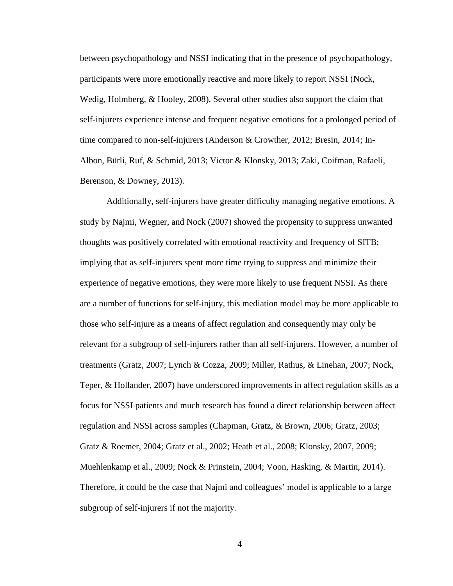between psychopathology and NSSI indicating that in the presence of psychopathology, participants were more emotionally reactive and more likely to report NSSI (Nock, Wedig, Holmberg, & Hooley, 2008). Several other studies also support the claim that self-injurers experience intense and frequent negative emotions for a prolonged period of time compared to non-self-injurers (Anderson & Crowther, 2012; Bresin, 2014; In-Albon, Bürli, Ruf, & Schmid, 2013; Victor & Klonsky, 2013; Zaki, Coifman, Rafaeli, Berenson, & Downey, 2013).

Additionally, self-injurers have greater difficulty managing negative emotions. A study by Najmi, Wegner, and Nock (2007) showed the propensity to suppress unwanted thoughts was positively correlated with emotional reactivity and frequency of SITB; implying that as self-injurers spent more time trying to suppress and minimize their experience of negative emotions, they were more likely to use frequent NSSI. As there are a number of functions for self-injury, this mediation model may be more applicable to those who self-injure as a means of affect regulation and consequently may only be relevant for a subgroup of self-injurers rather than all self-injurers. However, a number of treatments (Gratz, 2007; Lynch & Cozza, 2009; Miller, Rathus, & Linehan, 2007; Nock, Teper, & Hollander, 2007) have underscored improvements in affect regulation skills as a focus for NSSI patients and much research has found a direct relationship between affect regulation and NSSI across samples (Chapman, Gratz, & Brown, 2006; Gratz, 2003; Gratz & Roemer, 2004; Gratz et al., 2002; Heath et al., 2008; Klonsky, 2007, 2009; Muehlenkamp et al., 2009; Nock & Prinstein, 2004; Voon, Hasking, & Martin, 2014). Therefore, it could be the case that Najmi and colleagues' model is applicable to a large subgroup of self-injurers if not the majority.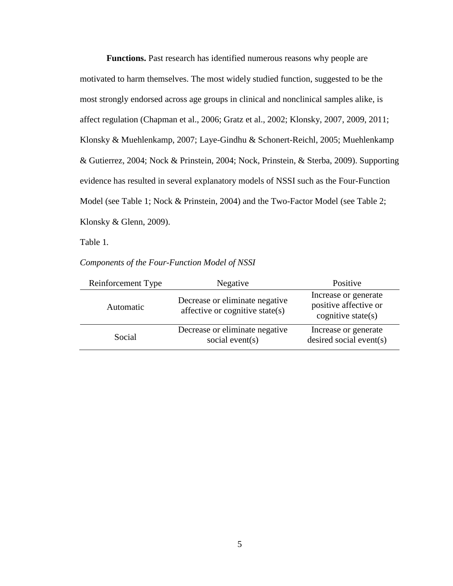**Functions.** Past research has identified numerous reasons why people are motivated to harm themselves. The most widely studied function, suggested to be the most strongly endorsed across age groups in clinical and nonclinical samples alike, is affect regulation (Chapman et al., 2006; Gratz et al., 2002; Klonsky, 2007, 2009, 2011; Klonsky & Muehlenkamp, 2007; Laye-Gindhu & Schonert-Reichl, 2005; Muehlenkamp & Gutierrez, 2004; Nock & Prinstein, 2004; Nock, Prinstein, & Sterba, 2009). Supporting evidence has resulted in several explanatory models of NSSI such as the Four-Function Model (see Table 1; Nock & Prinstein, 2004) and the Two-Factor Model (see Table 2; Klonsky & Glenn, 2009).

Table 1*.*

| Components of the Four-Function Model of NSSI |  |  |  |  |  |
|-----------------------------------------------|--|--|--|--|--|
|-----------------------------------------------|--|--|--|--|--|

| Reinforcement Type | Negative                                                          | Positive                                                               |  |
|--------------------|-------------------------------------------------------------------|------------------------------------------------------------------------|--|
| Automatic          | Decrease or eliminate negative<br>affective or cognitive state(s) | Increase or generate<br>positive affective or<br>cognitive state $(s)$ |  |
| Social             | Decrease or eliminate negative<br>social event(s)                 | Increase or generate<br>desired social event(s)                        |  |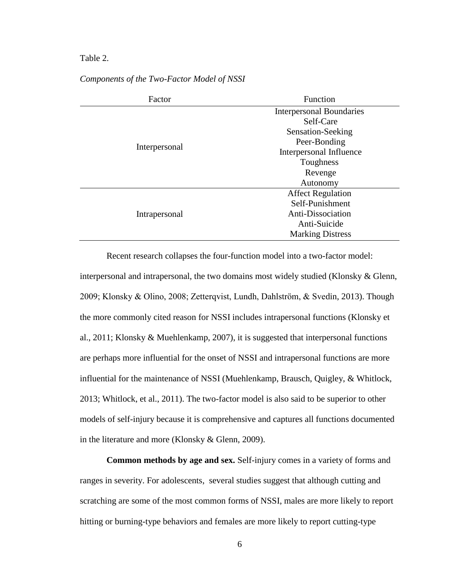## Table 2.

| Factor        | Function                        |  |  |
|---------------|---------------------------------|--|--|
|               | <b>Interpersonal Boundaries</b> |  |  |
|               | Self-Care                       |  |  |
|               | Sensation-Seeking               |  |  |
|               | Peer-Bonding                    |  |  |
| Interpersonal | Interpersonal Influence         |  |  |
|               | Toughness                       |  |  |
|               | Revenge                         |  |  |
|               | Autonomy                        |  |  |
|               | <b>Affect Regulation</b>        |  |  |
|               | Self-Punishment                 |  |  |
| Intrapersonal | Anti-Dissociation               |  |  |
|               | Anti-Suicide                    |  |  |
|               | <b>Marking Distress</b>         |  |  |

## *Components of the Two-Factor Model of NSSI*

Recent research collapses the four-function model into a two-factor model: interpersonal and intrapersonal, the two domains most widely studied (Klonsky & Glenn, 2009; Klonsky & Olino, 2008; Zetterqvist, Lundh, Dahlstrӧm, & Svedin, 2013). Though the more commonly cited reason for NSSI includes intrapersonal functions (Klonsky et al., 2011; Klonsky & Muehlenkamp, 2007), it is suggested that interpersonal functions are perhaps more influential for the onset of NSSI and intrapersonal functions are more influential for the maintenance of NSSI (Muehlenkamp, Brausch, Quigley, & Whitlock, 2013; Whitlock, et al., 2011). The two-factor model is also said to be superior to other models of self-injury because it is comprehensive and captures all functions documented in the literature and more (Klonsky & Glenn, 2009).

**Common methods by age and sex.** Self-injury comes in a variety of forms and ranges in severity. For adolescents, several studies suggest that although cutting and scratching are some of the most common forms of NSSI, males are more likely to report hitting or burning-type behaviors and females are more likely to report cutting-type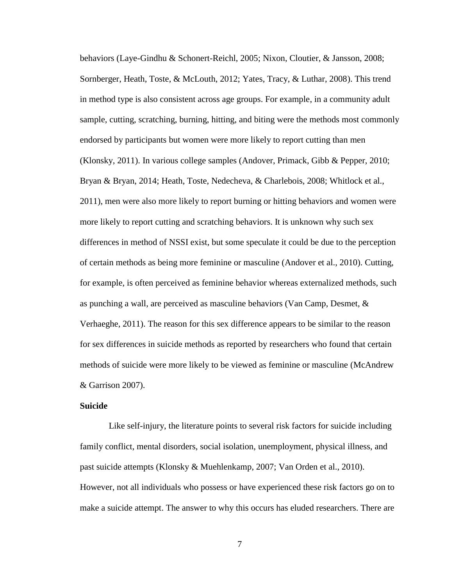behaviors (Laye-Gindhu & Schonert-Reichl, 2005; Nixon, Cloutier, & Jansson, 2008; Sornberger, Heath, Toste, & McLouth, 2012; Yates, Tracy, & Luthar, 2008). This trend in method type is also consistent across age groups. For example, in a community adult sample, cutting, scratching, burning, hitting, and biting were the methods most commonly endorsed by participants but women were more likely to report cutting than men (Klonsky, 2011). In various college samples (Andover, Primack, Gibb & Pepper, 2010; Bryan & Bryan, 2014; Heath, Toste, Nedecheva, & Charlebois, 2008; Whitlock et al., 2011), men were also more likely to report burning or hitting behaviors and women were more likely to report cutting and scratching behaviors. It is unknown why such sex differences in method of NSSI exist, but some speculate it could be due to the perception of certain methods as being more feminine or masculine (Andover et al., 2010). Cutting, for example, is often perceived as feminine behavior whereas externalized methods, such as punching a wall, are perceived as masculine behaviors (Van Camp, Desmet, & Verhaeghe, 2011). The reason for this sex difference appears to be similar to the reason for sex differences in suicide methods as reported by researchers who found that certain methods of suicide were more likely to be viewed as feminine or masculine (McAndrew & Garrison 2007).

## **Suicide**

Like self-injury, the literature points to several risk factors for suicide including family conflict, mental disorders, social isolation, unemployment, physical illness, and past suicide attempts (Klonsky & Muehlenkamp, 2007; Van Orden et al., 2010). However, not all individuals who possess or have experienced these risk factors go on to make a suicide attempt. The answer to why this occurs has eluded researchers. There are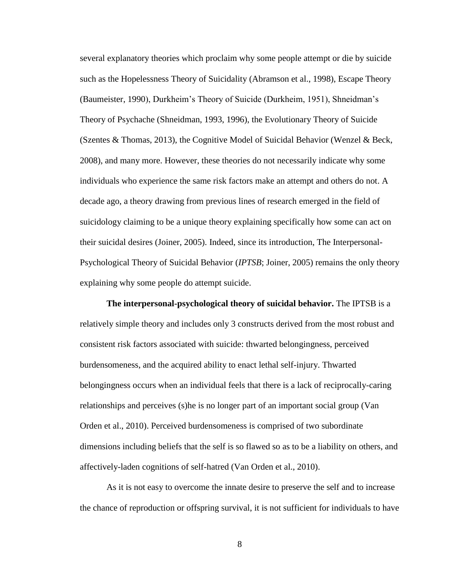several explanatory theories which proclaim why some people attempt or die by suicide such as the Hopelessness Theory of Suicidality (Abramson et al., 1998), Escape Theory (Baumeister, 1990), Durkheim's Theory of Suicide (Durkheim, 1951), Shneidman's Theory of Psychache (Shneidman, 1993, 1996), the Evolutionary Theory of Suicide (Szentes & Thomas, 2013), the Cognitive Model of Suicidal Behavior (Wenzel & Beck, 2008), and many more. However, these theories do not necessarily indicate why some individuals who experience the same risk factors make an attempt and others do not. A decade ago, a theory drawing from previous lines of research emerged in the field of suicidology claiming to be a unique theory explaining specifically how some can act on their suicidal desires (Joiner, 2005). Indeed, since its introduction, The Interpersonal-Psychological Theory of Suicidal Behavior (*IPTSB*; Joiner, 2005) remains the only theory explaining why some people do attempt suicide.

**The interpersonal-psychological theory of suicidal behavior.** The IPTSB is a relatively simple theory and includes only 3 constructs derived from the most robust and consistent risk factors associated with suicide: thwarted belongingness, perceived burdensomeness, and the acquired ability to enact lethal self-injury. Thwarted belongingness occurs when an individual feels that there is a lack of reciprocally-caring relationships and perceives (s)he is no longer part of an important social group (Van Orden et al., 2010). Perceived burdensomeness is comprised of two subordinate dimensions including beliefs that the self is so flawed so as to be a liability on others, and affectively-laden cognitions of self-hatred (Van Orden et al., 2010).

As it is not easy to overcome the innate desire to preserve the self and to increase the chance of reproduction or offspring survival, it is not sufficient for individuals to have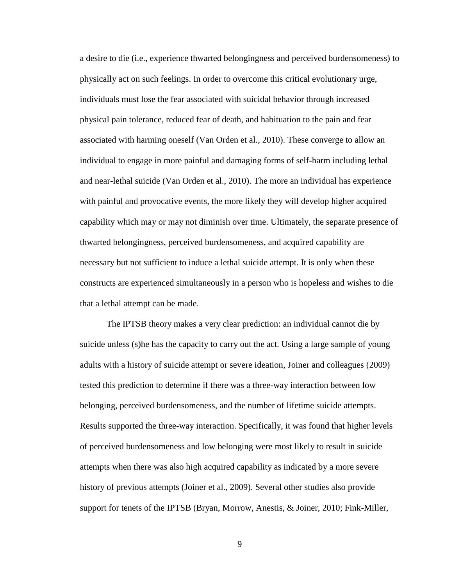a desire to die (i.e., experience thwarted belongingness and perceived burdensomeness) to physically act on such feelings. In order to overcome this critical evolutionary urge, individuals must lose the fear associated with suicidal behavior through increased physical pain tolerance, reduced fear of death, and habituation to the pain and fear associated with harming oneself (Van Orden et al., 2010). These converge to allow an individual to engage in more painful and damaging forms of self-harm including lethal and near-lethal suicide (Van Orden et al., 2010). The more an individual has experience with painful and provocative events, the more likely they will develop higher acquired capability which may or may not diminish over time. Ultimately, the separate presence of thwarted belongingness, perceived burdensomeness, and acquired capability are necessary but not sufficient to induce a lethal suicide attempt. It is only when these constructs are experienced simultaneously in a person who is hopeless and wishes to die that a lethal attempt can be made.

The IPTSB theory makes a very clear prediction: an individual cannot die by suicide unless (s)he has the capacity to carry out the act. Using a large sample of young adults with a history of suicide attempt or severe ideation, Joiner and colleagues (2009) tested this prediction to determine if there was a three-way interaction between low belonging, perceived burdensomeness, and the number of lifetime suicide attempts. Results supported the three-way interaction. Specifically, it was found that higher levels of perceived burdensomeness and low belonging were most likely to result in suicide attempts when there was also high acquired capability as indicated by a more severe history of previous attempts (Joiner et al., 2009). Several other studies also provide support for tenets of the IPTSB (Bryan, Morrow, Anestis, & Joiner, 2010; Fink-Miller,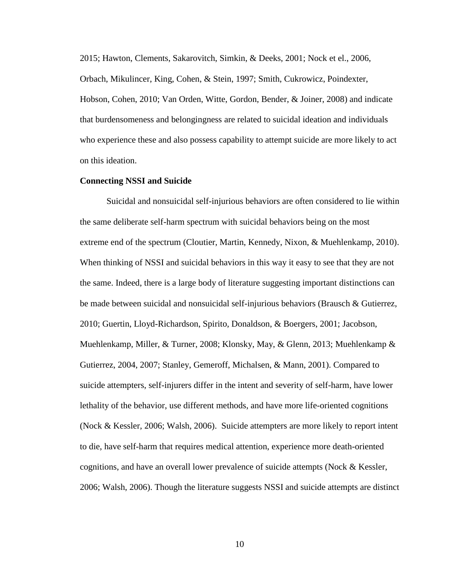2015; Hawton, Clements, Sakarovitch, Simkin, & Deeks, 2001; Nock et el., 2006, Orbach, Mikulincer, King, Cohen, & Stein, 1997; Smith, Cukrowicz, Poindexter, Hobson, Cohen, 2010; Van Orden, Witte, Gordon, Bender, & Joiner, 2008) and indicate that burdensomeness and belongingness are related to suicidal ideation and individuals who experience these and also possess capability to attempt suicide are more likely to act on this ideation.

## **Connecting NSSI and Suicide**

Suicidal and nonsuicidal self-injurious behaviors are often considered to lie within the same deliberate self-harm spectrum with suicidal behaviors being on the most extreme end of the spectrum (Cloutier, Martin, Kennedy, Nixon, & Muehlenkamp, 2010). When thinking of NSSI and suicidal behaviors in this way it easy to see that they are not the same. Indeed, there is a large body of literature suggesting important distinctions can be made between suicidal and nonsuicidal self-injurious behaviors (Brausch & Gutierrez, 2010; Guertin, Lloyd-Richardson, Spirito, Donaldson, & Boergers, 2001; Jacobson, Muehlenkamp, Miller, & Turner, 2008; Klonsky, May, & Glenn, 2013; Muehlenkamp & Gutierrez, 2004, 2007; Stanley, Gemeroff, Michalsen, & Mann, 2001). Compared to suicide attempters, self-injurers differ in the intent and severity of self-harm, have lower lethality of the behavior, use different methods, and have more life-oriented cognitions (Nock & Kessler, 2006; Walsh, 2006). Suicide attempters are more likely to report intent to die, have self-harm that requires medical attention, experience more death-oriented cognitions, and have an overall lower prevalence of suicide attempts (Nock & Kessler, 2006; Walsh, 2006). Though the literature suggests NSSI and suicide attempts are distinct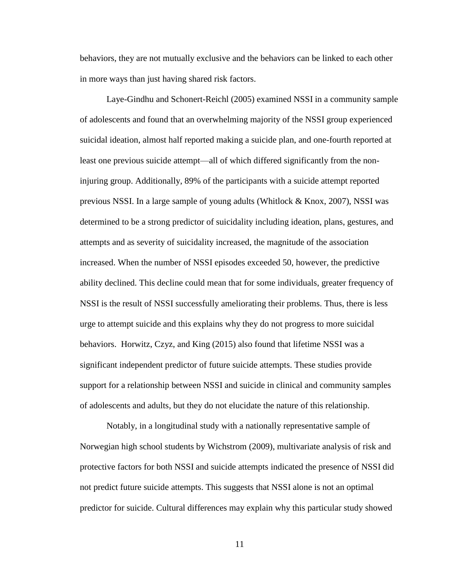behaviors, they are not mutually exclusive and the behaviors can be linked to each other in more ways than just having shared risk factors.

Laye-Gindhu and Schonert-Reichl (2005) examined NSSI in a community sample of adolescents and found that an overwhelming majority of the NSSI group experienced suicidal ideation, almost half reported making a suicide plan, and one-fourth reported at least one previous suicide attempt—all of which differed significantly from the noninjuring group. Additionally, 89% of the participants with a suicide attempt reported previous NSSI. In a large sample of young adults (Whitlock & Knox, 2007), NSSI was determined to be a strong predictor of suicidality including ideation, plans, gestures, and attempts and as severity of suicidality increased, the magnitude of the association increased. When the number of NSSI episodes exceeded 50, however, the predictive ability declined. This decline could mean that for some individuals, greater frequency of NSSI is the result of NSSI successfully ameliorating their problems. Thus, there is less urge to attempt suicide and this explains why they do not progress to more suicidal behaviors. Horwitz, Czyz, and King (2015) also found that lifetime NSSI was a significant independent predictor of future suicide attempts. These studies provide support for a relationship between NSSI and suicide in clinical and community samples of adolescents and adults, but they do not elucidate the nature of this relationship.

Notably, in a longitudinal study with a nationally representative sample of Norwegian high school students by Wichstrom (2009), multivariate analysis of risk and protective factors for both NSSI and suicide attempts indicated the presence of NSSI did not predict future suicide attempts. This suggests that NSSI alone is not an optimal predictor for suicide. Cultural differences may explain why this particular study showed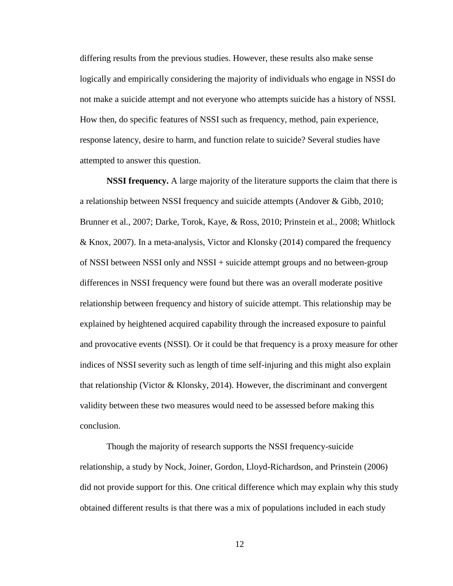differing results from the previous studies. However, these results also make sense logically and empirically considering the majority of individuals who engage in NSSI do not make a suicide attempt and not everyone who attempts suicide has a history of NSSI. How then, do specific features of NSSI such as frequency, method, pain experience, response latency, desire to harm, and function relate to suicide? Several studies have attempted to answer this question.

**NSSI frequency.** A large majority of the literature supports the claim that there is a relationship between NSSI frequency and suicide attempts (Andover & Gibb, 2010; Brunner et al., 2007; Darke, Torok, Kaye, & Ross, 2010; Prinstein et al., 2008; Whitlock & Knox, 2007). In a meta-analysis, Victor and Klonsky (2014) compared the frequency of NSSI between NSSI only and NSSI + suicide attempt groups and no between-group differences in NSSI frequency were found but there was an overall moderate positive relationship between frequency and history of suicide attempt. This relationship may be explained by heightened acquired capability through the increased exposure to painful and provocative events (NSSI). Or it could be that frequency is a proxy measure for other indices of NSSI severity such as length of time self-injuring and this might also explain that relationship (Victor  $\&$  Klonsky, 2014). However, the discriminant and convergent validity between these two measures would need to be assessed before making this conclusion.

Though the majority of research supports the NSSI frequency-suicide relationship, a study by Nock, Joiner, Gordon, Lloyd-Richardson, and Prinstein (2006) did not provide support for this. One critical difference which may explain why this study obtained different results is that there was a mix of populations included in each study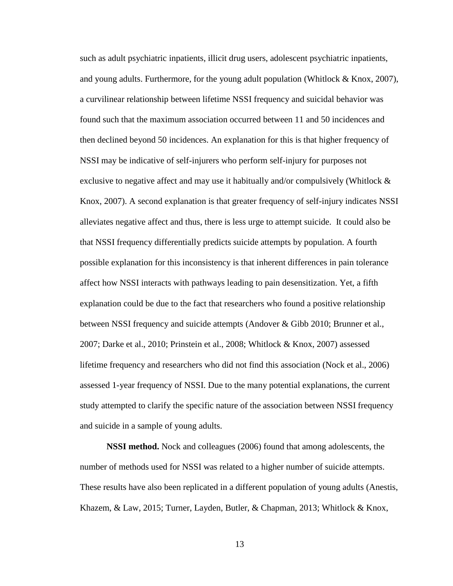such as adult psychiatric inpatients, illicit drug users, adolescent psychiatric inpatients, and young adults. Furthermore, for the young adult population (Whitlock  $&$  Knox, 2007), a curvilinear relationship between lifetime NSSI frequency and suicidal behavior was found such that the maximum association occurred between 11 and 50 incidences and then declined beyond 50 incidences. An explanation for this is that higher frequency of NSSI may be indicative of self-injurers who perform self-injury for purposes not exclusive to negative affect and may use it habitually and/or compulsively (Whitlock & Knox, 2007). A second explanation is that greater frequency of self-injury indicates NSSI alleviates negative affect and thus, there is less urge to attempt suicide. It could also be that NSSI frequency differentially predicts suicide attempts by population. A fourth possible explanation for this inconsistency is that inherent differences in pain tolerance affect how NSSI interacts with pathways leading to pain desensitization. Yet, a fifth explanation could be due to the fact that researchers who found a positive relationship between NSSI frequency and suicide attempts (Andover & Gibb 2010; Brunner et al., 2007; Darke et al., 2010; Prinstein et al., 2008; Whitlock & Knox, 2007) assessed lifetime frequency and researchers who did not find this association (Nock et al., 2006) assessed 1-year frequency of NSSI. Due to the many potential explanations, the current study attempted to clarify the specific nature of the association between NSSI frequency and suicide in a sample of young adults.

**NSSI method.** Nock and colleagues (2006) found that among adolescents, the number of methods used for NSSI was related to a higher number of suicide attempts. These results have also been replicated in a different population of young adults (Anestis, Khazem, & Law, 2015; Turner, Layden, Butler, & Chapman, 2013; Whitlock & Knox,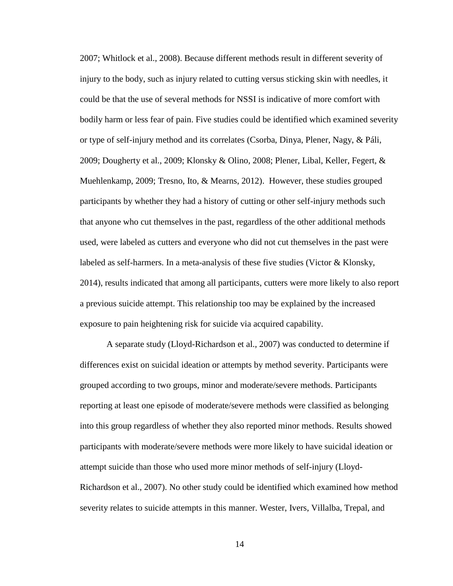2007; Whitlock et al., 2008). Because different methods result in different severity of injury to the body, such as injury related to cutting versus sticking skin with needles, it could be that the use of several methods for NSSI is indicative of more comfort with bodily harm or less fear of pain. Five studies could be identified which examined severity or type of self-injury method and its correlates (Csorba, Dinya, Plener, Nagy, & Páli, 2009; Dougherty et al., 2009; Klonsky & Olino, 2008; Plener, Libal, Keller, Fegert, & Muehlenkamp, 2009; Tresno, Ito, & Mearns, 2012). However, these studies grouped participants by whether they had a history of cutting or other self-injury methods such that anyone who cut themselves in the past, regardless of the other additional methods used, were labeled as cutters and everyone who did not cut themselves in the past were labeled as self-harmers. In a meta-analysis of these five studies (Victor  $\&$  Klonsky, 2014), results indicated that among all participants, cutters were more likely to also report a previous suicide attempt. This relationship too may be explained by the increased exposure to pain heightening risk for suicide via acquired capability.

A separate study (Lloyd-Richardson et al., 2007) was conducted to determine if differences exist on suicidal ideation or attempts by method severity. Participants were grouped according to two groups, minor and moderate/severe methods. Participants reporting at least one episode of moderate/severe methods were classified as belonging into this group regardless of whether they also reported minor methods. Results showed participants with moderate/severe methods were more likely to have suicidal ideation or attempt suicide than those who used more minor methods of self-injury (Lloyd-Richardson et al., 2007). No other study could be identified which examined how method severity relates to suicide attempts in this manner. Wester, Ivers, Villalba, Trepal, and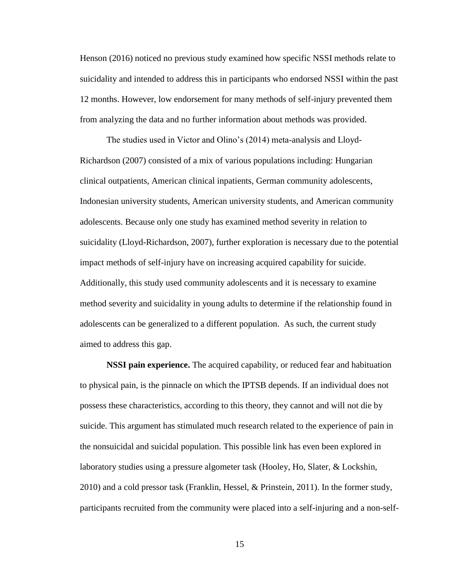Henson (2016) noticed no previous study examined how specific NSSI methods relate to suicidality and intended to address this in participants who endorsed NSSI within the past 12 months. However, low endorsement for many methods of self-injury prevented them from analyzing the data and no further information about methods was provided.

The studies used in Victor and Olino's (2014) meta-analysis and Lloyd-Richardson (2007) consisted of a mix of various populations including: Hungarian clinical outpatients, American clinical inpatients, German community adolescents, Indonesian university students, American university students, and American community adolescents. Because only one study has examined method severity in relation to suicidality (Lloyd-Richardson, 2007), further exploration is necessary due to the potential impact methods of self-injury have on increasing acquired capability for suicide. Additionally, this study used community adolescents and it is necessary to examine method severity and suicidality in young adults to determine if the relationship found in adolescents can be generalized to a different population. As such, the current study aimed to address this gap.

**NSSI pain experience.** The acquired capability, or reduced fear and habituation to physical pain, is the pinnacle on which the IPTSB depends. If an individual does not possess these characteristics, according to this theory, they cannot and will not die by suicide. This argument has stimulated much research related to the experience of pain in the nonsuicidal and suicidal population. This possible link has even been explored in laboratory studies using a pressure algometer task (Hooley, Ho, Slater, & Lockshin, 2010) and a cold pressor task (Franklin, Hessel, & Prinstein, 2011). In the former study, participants recruited from the community were placed into a self-injuring and a non-self-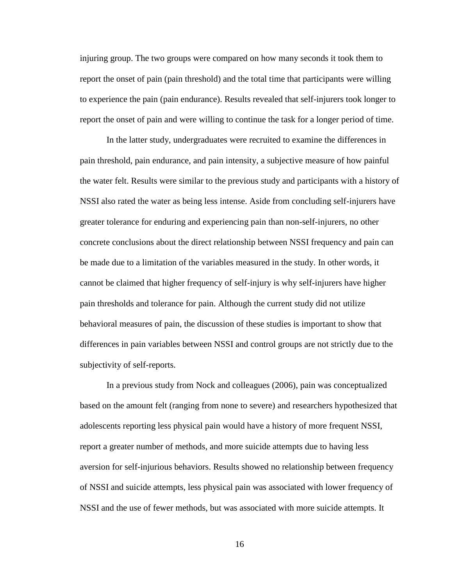injuring group. The two groups were compared on how many seconds it took them to report the onset of pain (pain threshold) and the total time that participants were willing to experience the pain (pain endurance). Results revealed that self-injurers took longer to report the onset of pain and were willing to continue the task for a longer period of time.

In the latter study, undergraduates were recruited to examine the differences in pain threshold, pain endurance, and pain intensity, a subjective measure of how painful the water felt. Results were similar to the previous study and participants with a history of NSSI also rated the water as being less intense. Aside from concluding self-injurers have greater tolerance for enduring and experiencing pain than non-self-injurers, no other concrete conclusions about the direct relationship between NSSI frequency and pain can be made due to a limitation of the variables measured in the study. In other words, it cannot be claimed that higher frequency of self-injury is why self-injurers have higher pain thresholds and tolerance for pain. Although the current study did not utilize behavioral measures of pain, the discussion of these studies is important to show that differences in pain variables between NSSI and control groups are not strictly due to the subjectivity of self-reports.

In a previous study from Nock and colleagues (2006), pain was conceptualized based on the amount felt (ranging from none to severe) and researchers hypothesized that adolescents reporting less physical pain would have a history of more frequent NSSI, report a greater number of methods, and more suicide attempts due to having less aversion for self-injurious behaviors. Results showed no relationship between frequency of NSSI and suicide attempts, less physical pain was associated with lower frequency of NSSI and the use of fewer methods, but was associated with more suicide attempts. It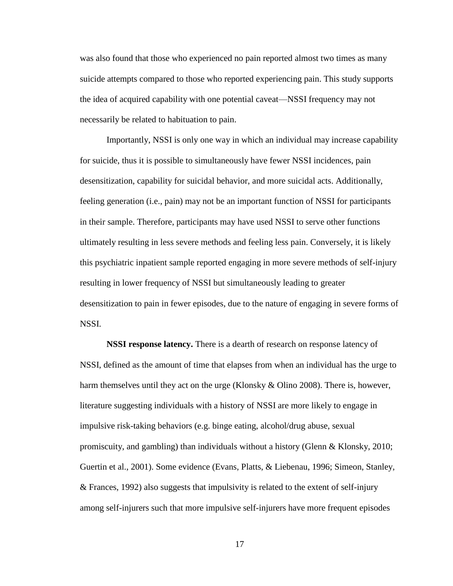was also found that those who experienced no pain reported almost two times as many suicide attempts compared to those who reported experiencing pain. This study supports the idea of acquired capability with one potential caveat—NSSI frequency may not necessarily be related to habituation to pain.

Importantly, NSSI is only one way in which an individual may increase capability for suicide, thus it is possible to simultaneously have fewer NSSI incidences, pain desensitization, capability for suicidal behavior, and more suicidal acts. Additionally, feeling generation (i.e., pain) may not be an important function of NSSI for participants in their sample. Therefore, participants may have used NSSI to serve other functions ultimately resulting in less severe methods and feeling less pain. Conversely, it is likely this psychiatric inpatient sample reported engaging in more severe methods of self-injury resulting in lower frequency of NSSI but simultaneously leading to greater desensitization to pain in fewer episodes, due to the nature of engaging in severe forms of NSSI.

**NSSI response latency.** There is a dearth of research on response latency of NSSI, defined as the amount of time that elapses from when an individual has the urge to harm themselves until they act on the urge (Klonsky & Olino 2008). There is, however, literature suggesting individuals with a history of NSSI are more likely to engage in impulsive risk-taking behaviors (e.g. binge eating, alcohol/drug abuse, sexual promiscuity, and gambling) than individuals without a history (Glenn & Klonsky, 2010; Guertin et al., 2001). Some evidence (Evans, Platts, & Liebenau, 1996; Simeon, Stanley, & Frances, 1992) also suggests that impulsivity is related to the extent of self-injury among self-injurers such that more impulsive self-injurers have more frequent episodes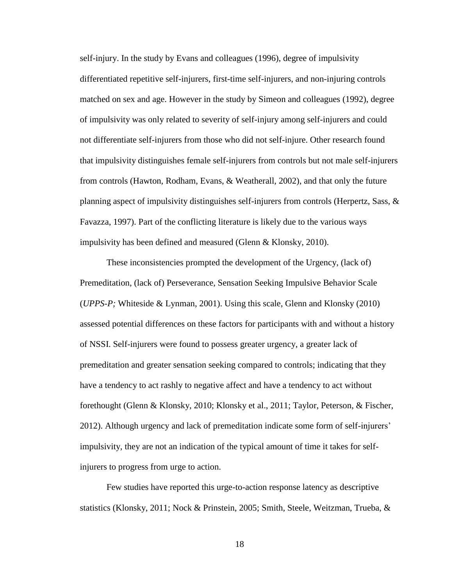self-injury. In the study by Evans and colleagues (1996), degree of impulsivity differentiated repetitive self-injurers, first-time self-injurers, and non-injuring controls matched on sex and age. However in the study by Simeon and colleagues (1992), degree of impulsivity was only related to severity of self-injury among self-injurers and could not differentiate self-injurers from those who did not self-injure. Other research found that impulsivity distinguishes female self-injurers from controls but not male self-injurers from controls (Hawton, Rodham, Evans, & Weatherall, 2002), and that only the future planning aspect of impulsivity distinguishes self-injurers from controls (Herpertz, Sass, & Favazza, 1997). Part of the conflicting literature is likely due to the various ways impulsivity has been defined and measured (Glenn & Klonsky, 2010).

These inconsistencies prompted the development of the Urgency, (lack of) Premeditation, (lack of) Perseverance, Sensation Seeking Impulsive Behavior Scale (*UPPS-P;* Whiteside & Lynman, 2001). Using this scale, Glenn and Klonsky (2010) assessed potential differences on these factors for participants with and without a history of NSSI. Self-injurers were found to possess greater urgency, a greater lack of premeditation and greater sensation seeking compared to controls; indicating that they have a tendency to act rashly to negative affect and have a tendency to act without forethought (Glenn & Klonsky, 2010; Klonsky et al., 2011; Taylor, Peterson, & Fischer, 2012). Although urgency and lack of premeditation indicate some form of self-injurers' impulsivity, they are not an indication of the typical amount of time it takes for selfinjurers to progress from urge to action.

Few studies have reported this urge-to-action response latency as descriptive statistics (Klonsky, 2011; Nock & Prinstein, 2005; Smith, Steele, Weitzman, Trueba, &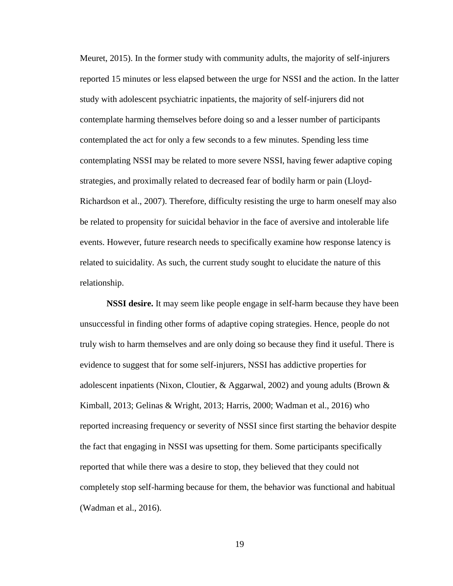Meuret, 2015). In the former study with community adults, the majority of self-injurers reported 15 minutes or less elapsed between the urge for NSSI and the action. In the latter study with adolescent psychiatric inpatients, the majority of self-injurers did not contemplate harming themselves before doing so and a lesser number of participants contemplated the act for only a few seconds to a few minutes. Spending less time contemplating NSSI may be related to more severe NSSI, having fewer adaptive coping strategies, and proximally related to decreased fear of bodily harm or pain (Lloyd-Richardson et al., 2007). Therefore, difficulty resisting the urge to harm oneself may also be related to propensity for suicidal behavior in the face of aversive and intolerable life events. However, future research needs to specifically examine how response latency is related to suicidality. As such, the current study sought to elucidate the nature of this relationship.

**NSSI desire.** It may seem like people engage in self-harm because they have been unsuccessful in finding other forms of adaptive coping strategies. Hence, people do not truly wish to harm themselves and are only doing so because they find it useful. There is evidence to suggest that for some self-injurers, NSSI has addictive properties for adolescent inpatients (Nixon, Cloutier, & Aggarwal, 2002) and young adults (Brown & Kimball, 2013; Gelinas & Wright, 2013; Harris, 2000; Wadman et al., 2016) who reported increasing frequency or severity of NSSI since first starting the behavior despite the fact that engaging in NSSI was upsetting for them. Some participants specifically reported that while there was a desire to stop, they believed that they could not completely stop self-harming because for them, the behavior was functional and habitual (Wadman et al., 2016).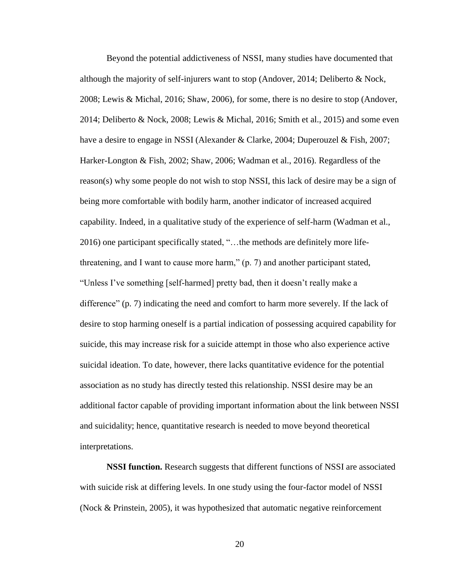Beyond the potential addictiveness of NSSI, many studies have documented that although the majority of self-injurers want to stop (Andover, 2014; Deliberto & Nock, 2008; Lewis & Michal, 2016; Shaw, 2006), for some, there is no desire to stop (Andover, 2014; Deliberto & Nock, 2008; Lewis & Michal, 2016; Smith et al., 2015) and some even have a desire to engage in NSSI (Alexander & Clarke, 2004; Duperouzel & Fish, 2007; Harker-Longton & Fish, 2002; Shaw, 2006; Wadman et al., 2016). Regardless of the reason(s) why some people do not wish to stop NSSI, this lack of desire may be a sign of being more comfortable with bodily harm, another indicator of increased acquired capability. Indeed, in a qualitative study of the experience of self-harm (Wadman et al., 2016) one participant specifically stated, "…the methods are definitely more lifethreatening, and I want to cause more harm," (p. 7) and another participant stated, "Unless I've something [self-harmed] pretty bad, then it doesn't really make a difference" (p. 7) indicating the need and comfort to harm more severely. If the lack of desire to stop harming oneself is a partial indication of possessing acquired capability for suicide, this may increase risk for a suicide attempt in those who also experience active suicidal ideation. To date, however, there lacks quantitative evidence for the potential association as no study has directly tested this relationship. NSSI desire may be an additional factor capable of providing important information about the link between NSSI and suicidality; hence, quantitative research is needed to move beyond theoretical interpretations.

**NSSI function.** Research suggests that different functions of NSSI are associated with suicide risk at differing levels. In one study using the four-factor model of NSSI (Nock & Prinstein, 2005), it was hypothesized that automatic negative reinforcement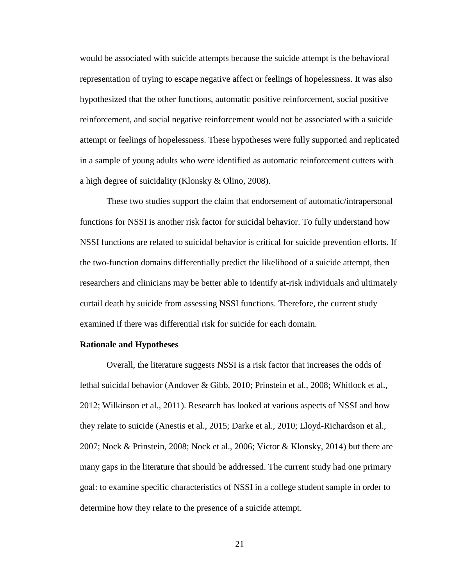would be associated with suicide attempts because the suicide attempt is the behavioral representation of trying to escape negative affect or feelings of hopelessness. It was also hypothesized that the other functions, automatic positive reinforcement, social positive reinforcement, and social negative reinforcement would not be associated with a suicide attempt or feelings of hopelessness. These hypotheses were fully supported and replicated in a sample of young adults who were identified as automatic reinforcement cutters with a high degree of suicidality (Klonsky & Olino, 2008).

These two studies support the claim that endorsement of automatic/intrapersonal functions for NSSI is another risk factor for suicidal behavior. To fully understand how NSSI functions are related to suicidal behavior is critical for suicide prevention efforts. If the two-function domains differentially predict the likelihood of a suicide attempt, then researchers and clinicians may be better able to identify at-risk individuals and ultimately curtail death by suicide from assessing NSSI functions. Therefore, the current study examined if there was differential risk for suicide for each domain.

#### **Rationale and Hypotheses**

Overall, the literature suggests NSSI is a risk factor that increases the odds of lethal suicidal behavior (Andover & Gibb, 2010; Prinstein et al., 2008; Whitlock et al., 2012; Wilkinson et al., 2011). Research has looked at various aspects of NSSI and how they relate to suicide (Anestis et al., 2015; Darke et al., 2010; Lloyd-Richardson et al., 2007; Nock & Prinstein, 2008; Nock et al., 2006; Victor & Klonsky, 2014) but there are many gaps in the literature that should be addressed. The current study had one primary goal: to examine specific characteristics of NSSI in a college student sample in order to determine how they relate to the presence of a suicide attempt.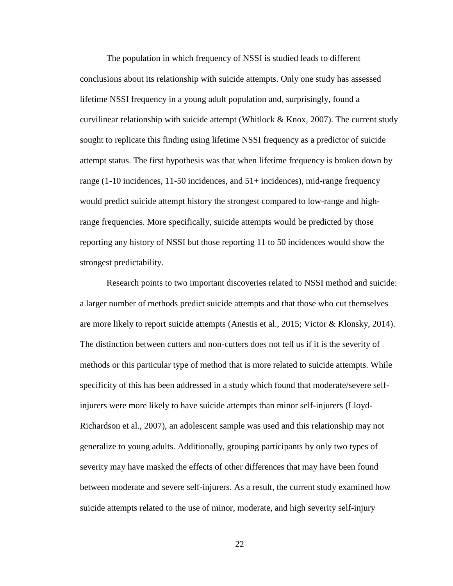The population in which frequency of NSSI is studied leads to different conclusions about its relationship with suicide attempts. Only one study has assessed lifetime NSSI frequency in a young adult population and, surprisingly, found a curvilinear relationship with suicide attempt (Whitlock  $&$  Knox, 2007). The current study sought to replicate this finding using lifetime NSSI frequency as a predictor of suicide attempt status. The first hypothesis was that when lifetime frequency is broken down by range (1-10 incidences, 11-50 incidences, and 51+ incidences), mid-range frequency would predict suicide attempt history the strongest compared to low-range and highrange frequencies. More specifically, suicide attempts would be predicted by those reporting any history of NSSI but those reporting 11 to 50 incidences would show the strongest predictability.

Research points to two important discoveries related to NSSI method and suicide: a larger number of methods predict suicide attempts and that those who cut themselves are more likely to report suicide attempts (Anestis et al., 2015; Victor & Klonsky, 2014). The distinction between cutters and non-cutters does not tell us if it is the severity of methods or this particular type of method that is more related to suicide attempts. While specificity of this has been addressed in a study which found that moderate/severe selfinjurers were more likely to have suicide attempts than minor self-injurers (Lloyd-Richardson et al., 2007), an adolescent sample was used and this relationship may not generalize to young adults. Additionally, grouping participants by only two types of severity may have masked the effects of other differences that may have been found between moderate and severe self-injurers. As a result, the current study examined how suicide attempts related to the use of minor, moderate, and high severity self-injury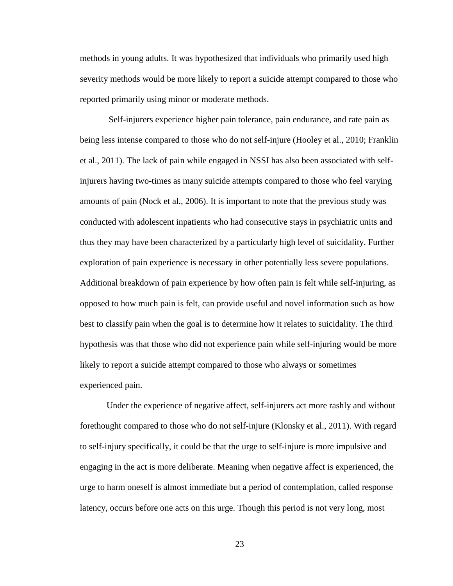methods in young adults. It was hypothesized that individuals who primarily used high severity methods would be more likely to report a suicide attempt compared to those who reported primarily using minor or moderate methods.

Self-injurers experience higher pain tolerance, pain endurance, and rate pain as being less intense compared to those who do not self-injure (Hooley et al., 2010; Franklin et al., 2011). The lack of pain while engaged in NSSI has also been associated with selfinjurers having two-times as many suicide attempts compared to those who feel varying amounts of pain (Nock et al., 2006). It is important to note that the previous study was conducted with adolescent inpatients who had consecutive stays in psychiatric units and thus they may have been characterized by a particularly high level of suicidality. Further exploration of pain experience is necessary in other potentially less severe populations. Additional breakdown of pain experience by how often pain is felt while self-injuring, as opposed to how much pain is felt, can provide useful and novel information such as how best to classify pain when the goal is to determine how it relates to suicidality. The third hypothesis was that those who did not experience pain while self-injuring would be more likely to report a suicide attempt compared to those who always or sometimes experienced pain.

Under the experience of negative affect, self-injurers act more rashly and without forethought compared to those who do not self-injure (Klonsky et al., 2011). With regard to self-injury specifically, it could be that the urge to self-injure is more impulsive and engaging in the act is more deliberate. Meaning when negative affect is experienced, the urge to harm oneself is almost immediate but a period of contemplation, called response latency, occurs before one acts on this urge. Though this period is not very long, most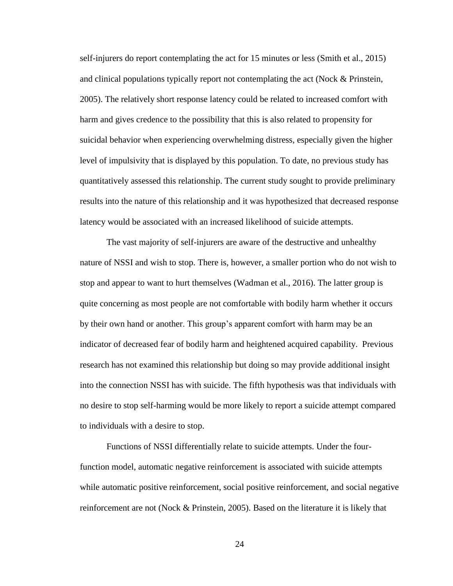self-injurers do report contemplating the act for 15 minutes or less (Smith et al., 2015) and clinical populations typically report not contemplating the act (Nock & Prinstein, 2005). The relatively short response latency could be related to increased comfort with harm and gives credence to the possibility that this is also related to propensity for suicidal behavior when experiencing overwhelming distress, especially given the higher level of impulsivity that is displayed by this population. To date, no previous study has quantitatively assessed this relationship. The current study sought to provide preliminary results into the nature of this relationship and it was hypothesized that decreased response latency would be associated with an increased likelihood of suicide attempts.

The vast majority of self-injurers are aware of the destructive and unhealthy nature of NSSI and wish to stop. There is, however, a smaller portion who do not wish to stop and appear to want to hurt themselves (Wadman et al., 2016). The latter group is quite concerning as most people are not comfortable with bodily harm whether it occurs by their own hand or another. This group's apparent comfort with harm may be an indicator of decreased fear of bodily harm and heightened acquired capability. Previous research has not examined this relationship but doing so may provide additional insight into the connection NSSI has with suicide. The fifth hypothesis was that individuals with no desire to stop self-harming would be more likely to report a suicide attempt compared to individuals with a desire to stop.

Functions of NSSI differentially relate to suicide attempts. Under the fourfunction model, automatic negative reinforcement is associated with suicide attempts while automatic positive reinforcement, social positive reinforcement, and social negative reinforcement are not (Nock & Prinstein, 2005). Based on the literature it is likely that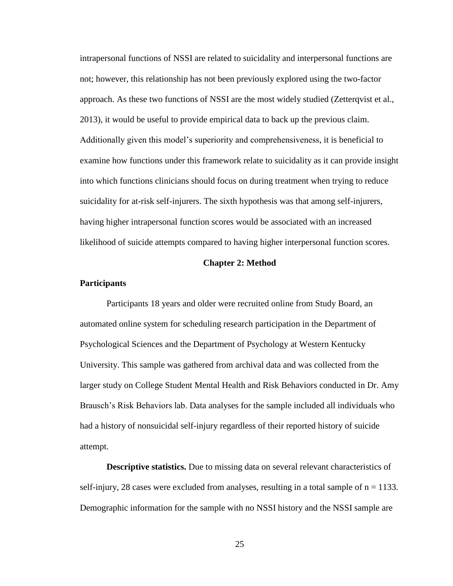intrapersonal functions of NSSI are related to suicidality and interpersonal functions are not; however, this relationship has not been previously explored using the two-factor approach. As these two functions of NSSI are the most widely studied (Zetterqvist et al., 2013), it would be useful to provide empirical data to back up the previous claim. Additionally given this model's superiority and comprehensiveness, it is beneficial to examine how functions under this framework relate to suicidality as it can provide insight into which functions clinicians should focus on during treatment when trying to reduce suicidality for at-risk self-injurers. The sixth hypothesis was that among self-injurers, having higher intrapersonal function scores would be associated with an increased likelihood of suicide attempts compared to having higher interpersonal function scores.

#### **Chapter 2: Method**

#### **Participants**

Participants 18 years and older were recruited online from Study Board, an automated online system for scheduling research participation in the Department of Psychological Sciences and the Department of Psychology at Western Kentucky University. This sample was gathered from archival data and was collected from the larger study on College Student Mental Health and Risk Behaviors conducted in Dr. Amy Brausch's Risk Behaviors lab. Data analyses for the sample included all individuals who had a history of nonsuicidal self-injury regardless of their reported history of suicide attempt.

**Descriptive statistics.** Due to missing data on several relevant characteristics of self-injury, 28 cases were excluded from analyses, resulting in a total sample of  $n = 1133$ . Demographic information for the sample with no NSSI history and the NSSI sample are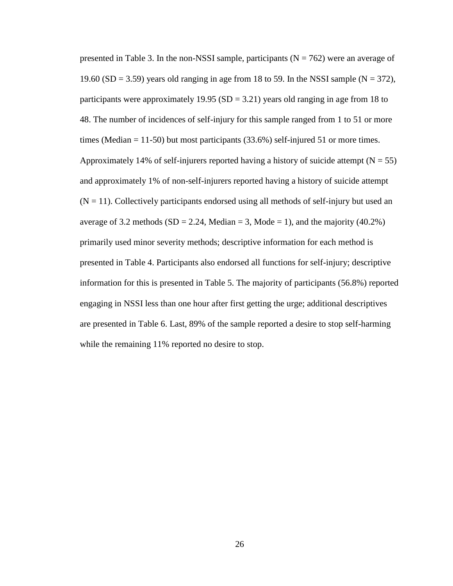presented in Table 3. In the non-NSSI sample, participants ( $N = 762$ ) were an average of 19.60 (SD = 3.59) years old ranging in age from 18 to 59. In the NSSI sample ( $N = 372$ ), participants were approximately 19.95 (SD = 3.21) years old ranging in age from 18 to 48. The number of incidences of self-injury for this sample ranged from 1 to 51 or more times (Median  $= 11-50$ ) but most participants (33.6%) self-injured 51 or more times. Approximately 14% of self-injurers reported having a history of suicide attempt  $(N = 55)$ and approximately 1% of non-self-injurers reported having a history of suicide attempt  $(N = 11)$ . Collectively participants endorsed using all methods of self-injury but used an average of 3.2 methods (SD = 2.24, Median = 3, Mode = 1), and the majority (40.2%) primarily used minor severity methods; descriptive information for each method is presented in Table 4. Participants also endorsed all functions for self-injury; descriptive information for this is presented in Table 5. The majority of participants (56.8%) reported engaging in NSSI less than one hour after first getting the urge; additional descriptives are presented in Table 6. Last, 89% of the sample reported a desire to stop self-harming while the remaining 11% reported no desire to stop.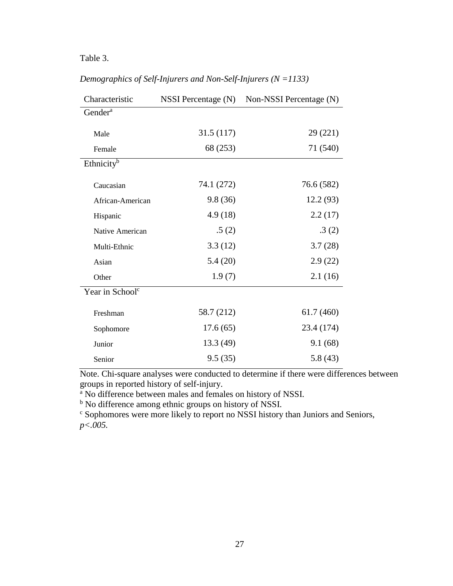## Table 3.

| Characteristic              | NSSI Percentage (N) | Non-NSSI Percentage (N) |  |  |  |
|-----------------------------|---------------------|-------------------------|--|--|--|
| Gender <sup>a</sup>         |                     |                         |  |  |  |
| Male                        | 31.5 (117)          | 29 (221)                |  |  |  |
| Female                      | 68 (253)            | 71 (540)                |  |  |  |
| Ethnicity <sup>b</sup>      |                     |                         |  |  |  |
| Caucasian                   | 74.1 (272)          | 76.6 (582)              |  |  |  |
| African-American            | 9.8(36)             | 12.2 (93)               |  |  |  |
| Hispanic                    | 4.9(18)             | 2.2(17)                 |  |  |  |
| Native American             | .5(2)               | .3(2)                   |  |  |  |
| Multi-Ethnic                | 3.3(12)             | 3.7(28)                 |  |  |  |
| Asian                       | 5.4(20)             | 2.9(22)                 |  |  |  |
| Other                       | 1.9(7)              | 2.1(16)                 |  |  |  |
| Year in School <sup>c</sup> |                     |                         |  |  |  |
| Freshman                    | 58.7 (212)          | 61.7(460)               |  |  |  |
| Sophomore                   | 17.6(65)            | 23.4 (174)              |  |  |  |
| Junior                      | 13.3(49)            | 9.1(68)                 |  |  |  |
| Senior                      | 9.5(35)             | 5.8(43)                 |  |  |  |

# *Demographics of Self-Injurers and Non-Self-Injurers (N =1133)*

Note. Chi-square analyses were conducted to determine if there were differences between groups in reported history of self-injury.

<sup>a</sup> No difference between males and females on history of NSSI.

<sup>b</sup> No difference among ethnic groups on history of NSSI.

<sup>c</sup> Sophomores were more likely to report no NSSI history than Juniors and Seniors, *p<.005.*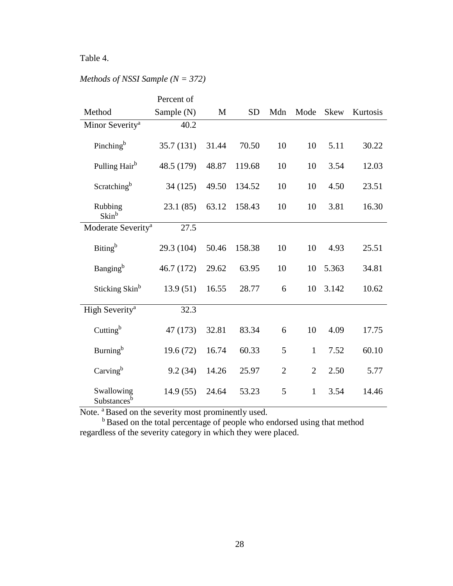# Table 4.

|                                       | Percent of |       |           |                |                |             |          |
|---------------------------------------|------------|-------|-----------|----------------|----------------|-------------|----------|
| Method                                | Sample (N) | M     | <b>SD</b> | Mdn            | Mode           | <b>Skew</b> | Kurtosis |
| Minor Severity <sup>a</sup>           | 40.2       |       |           |                |                |             |          |
| Pinching <sup>b</sup>                 | 35.7 (131) | 31.44 | 70.50     | 10             | 10             | 5.11        | 30.22    |
| Pulling Hair <sup>b</sup>             | 48.5 (179) | 48.87 | 119.68    | 10             | 10             | 3.54        | 12.03    |
| Scratching <sup>b</sup>               | 34 (125)   | 49.50 | 134.52    | 10             | 10             | 4.50        | 23.51    |
| Rubbing<br>Skin <sup>b</sup>          | 23.1(85)   | 63.12 | 158.43    | 10             | 10             | 3.81        | 16.30    |
| Moderate Severity <sup>a</sup>        | 27.5       |       |           |                |                |             |          |
| Biting <sup>b</sup>                   | 29.3 (104) | 50.46 | 158.38    | 10             | 10             | 4.93        | 25.51    |
| Banging <sup>b</sup>                  | 46.7 (172) | 29.62 | 63.95     | 10             | 10             | 5.363       | 34.81    |
| Sticking Skin <sup>b</sup>            | 13.9(51)   | 16.55 | 28.77     | 6              | 10             | 3.142       | 10.62    |
| High Severity <sup>a</sup>            | 32.3       |       |           |                |                |             |          |
| Cutting <sup>b</sup>                  | 47 (173)   | 32.81 | 83.34     | 6              | 10             | 4.09        | 17.75    |
| Burning <sup>b</sup>                  | 19.6(72)   | 16.74 | 60.33     | 5              | $\mathbf{1}$   | 7.52        | 60.10    |
| Carving <sup>b</sup>                  | 9.2(34)    | 14.26 | 25.97     | $\overline{2}$ | $\overline{2}$ | 2.50        | 5.77     |
| Swallowing<br>Substances <sup>b</sup> | 14.9(55)   | 24.64 | 53.23     | 5              | 1              | 3.54        | 14.46    |

# *Methods of NSSI Sample (N = 372)*

Note. <sup>a</sup> Based on the severity most prominently used.

<sup>b</sup> Based on the total percentage of people who endorsed using that method regardless of the severity category in which they were placed.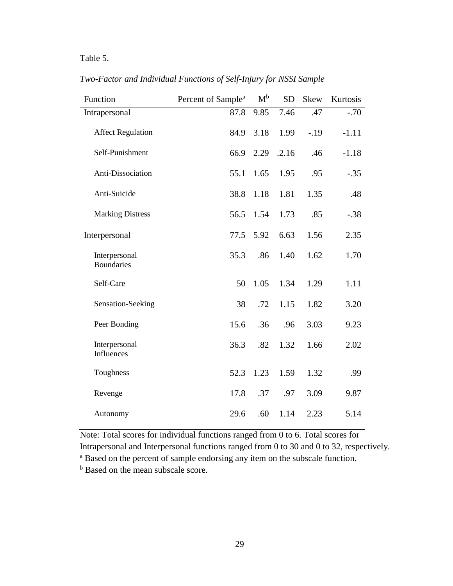# Table 5.

| Function                           | Percent of Sample <sup>a</sup> | $\mathbf{M}^{\text{b}}$ | <b>SD</b> | <b>Skew</b> | Kurtosis |
|------------------------------------|--------------------------------|-------------------------|-----------|-------------|----------|
| Intrapersonal                      | 87.8                           | 9.85                    | 7.46      | .47         | $-.70$   |
| <b>Affect Regulation</b>           | 84.9                           | 3.18                    | 1.99      | $-19$       | $-1.11$  |
| Self-Punishment                    | 66.9                           | 2.29                    | .2.16     | .46         | $-1.18$  |
| Anti-Dissociation                  | 55.1                           | 1.65                    | 1.95      | .95         | $-.35$   |
| Anti-Suicide                       | 38.8                           | 1.18                    | 1.81      | 1.35        | .48      |
| <b>Marking Distress</b>            | 56.5                           | 1.54                    | 1.73      | .85         | $-.38$   |
| Interpersonal                      | 77.5                           | 5.92                    | 6.63      | 1.56        | 2.35     |
| Interpersonal<br><b>Boundaries</b> | 35.3                           | .86                     | 1.40      | 1.62        | 1.70     |
| Self-Care                          | 50                             | 1.05                    | 1.34      | 1.29        | 1.11     |
| Sensation-Seeking                  | 38                             | .72                     | 1.15      | 1.82        | 3.20     |
| Peer Bonding                       | 15.6                           | .36                     | .96       | 3.03        | 9.23     |
| Interpersonal<br>Influences        | 36.3                           | .82                     | 1.32      | 1.66        | 2.02     |
| Toughness                          | 52.3                           | 1.23                    | 1.59      | 1.32        | .99      |
| Revenge                            | 17.8                           | .37                     | .97       | 3.09        | 9.87     |
| Autonomy                           | 29.6                           | .60                     | 1.14      | 2.23        | 5.14     |

*Two-Factor and Individual Functions of Self-Injury for NSSI Sample*

Note: Total scores for individual functions ranged from 0 to 6. Total scores for Intrapersonal and Interpersonal functions ranged from 0 to 30 and 0 to 32, respectively.

<sup>a</sup> Based on the percent of sample endorsing any item on the subscale function.

<sup>b</sup> Based on the mean subscale score.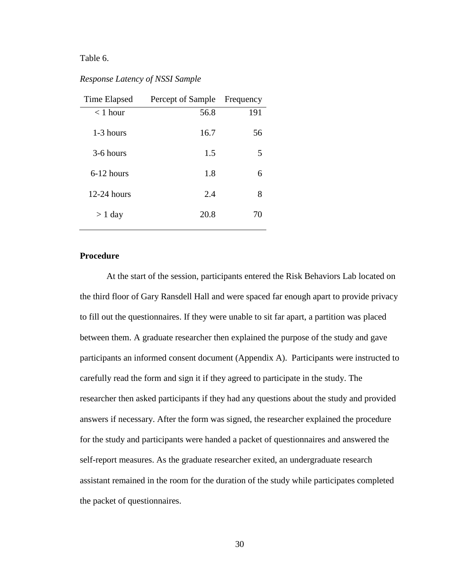# Table 6.

## *Response Latency of NSSI Sample*

| Time Elapsed  | Percept of Sample | Frequency |
|---------------|-------------------|-----------|
| $<$ 1 hour    | 56.8              | 191       |
| 1-3 hours     | 16.7              | 56        |
| 3-6 hours     | 1.5               | 5         |
| $6-12$ hours  | 1.8               | 6         |
| $12-24$ hours | 2.4               | 8         |
| $> 1$ day     | 20.8              | 70        |

#### **Procedure**

At the start of the session, participants entered the Risk Behaviors Lab located on the third floor of Gary Ransdell Hall and were spaced far enough apart to provide privacy to fill out the questionnaires. If they were unable to sit far apart, a partition was placed between them. A graduate researcher then explained the purpose of the study and gave participants an informed consent document (Appendix A). Participants were instructed to carefully read the form and sign it if they agreed to participate in the study. The researcher then asked participants if they had any questions about the study and provided answers if necessary. After the form was signed, the researcher explained the procedure for the study and participants were handed a packet of questionnaires and answered the self-report measures. As the graduate researcher exited, an undergraduate research assistant remained in the room for the duration of the study while participates completed the packet of questionnaires.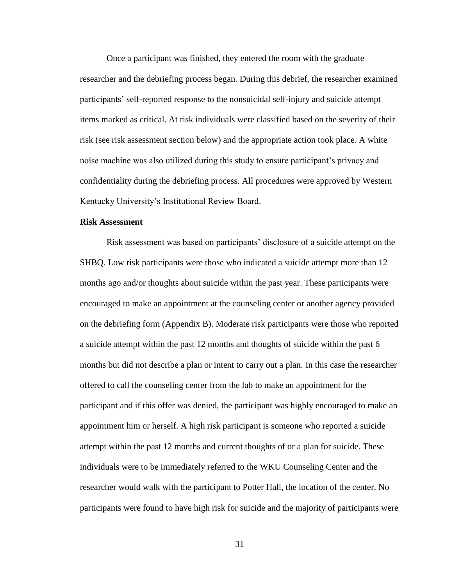Once a participant was finished, they entered the room with the graduate researcher and the debriefing process began. During this debrief, the researcher examined participants' self-reported response to the nonsuicidal self-injury and suicide attempt items marked as critical. At risk individuals were classified based on the severity of their risk (see risk assessment section below) and the appropriate action took place. A white noise machine was also utilized during this study to ensure participant's privacy and confidentiality during the debriefing process. All procedures were approved by Western Kentucky University's Institutional Review Board.

#### **Risk Assessment**

Risk assessment was based on participants' disclosure of a suicide attempt on the SHBQ. Low risk participants were those who indicated a suicide attempt more than 12 months ago and/or thoughts about suicide within the past year. These participants were encouraged to make an appointment at the counseling center or another agency provided on the debriefing form (Appendix B). Moderate risk participants were those who reported a suicide attempt within the past 12 months and thoughts of suicide within the past 6 months but did not describe a plan or intent to carry out a plan. In this case the researcher offered to call the counseling center from the lab to make an appointment for the participant and if this offer was denied, the participant was highly encouraged to make an appointment him or herself. A high risk participant is someone who reported a suicide attempt within the past 12 months and current thoughts of or a plan for suicide. These individuals were to be immediately referred to the WKU Counseling Center and the researcher would walk with the participant to Potter Hall, the location of the center. No participants were found to have high risk for suicide and the majority of participants were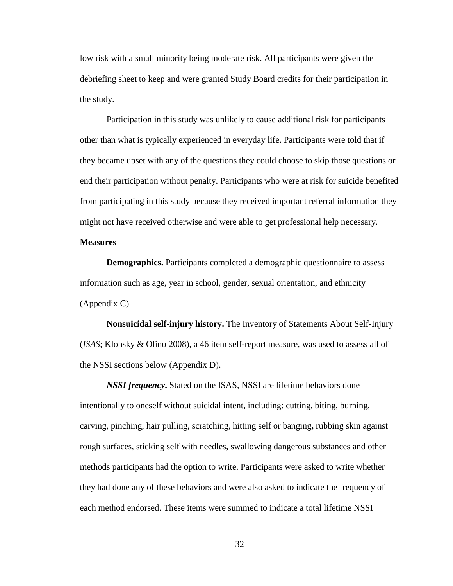low risk with a small minority being moderate risk. All participants were given the debriefing sheet to keep and were granted Study Board credits for their participation in the study.

Participation in this study was unlikely to cause additional risk for participants other than what is typically experienced in everyday life. Participants were told that if they became upset with any of the questions they could choose to skip those questions or end their participation without penalty. Participants who were at risk for suicide benefited from participating in this study because they received important referral information they might not have received otherwise and were able to get professional help necessary.

# **Measures**

**Demographics.** Participants completed a demographic questionnaire to assess information such as age, year in school, gender, sexual orientation, and ethnicity (Appendix C).

**Nonsuicidal self-injury history.** The Inventory of Statements About Self-Injury (*ISAS*; Klonsky & Olino 2008), a 46 item self-report measure, was used to assess all of the NSSI sections below (Appendix D).

*NSSI frequency***.** Stated on the ISAS, NSSI are lifetime behaviors done intentionally to oneself without suicidal intent, including: cutting, biting, burning, carving, pinching, hair pulling, scratching, hitting self or banging**,** rubbing skin against rough surfaces, sticking self with needles, swallowing dangerous substances and other methods participants had the option to write. Participants were asked to write whether they had done any of these behaviors and were also asked to indicate the frequency of each method endorsed. These items were summed to indicate a total lifetime NSSI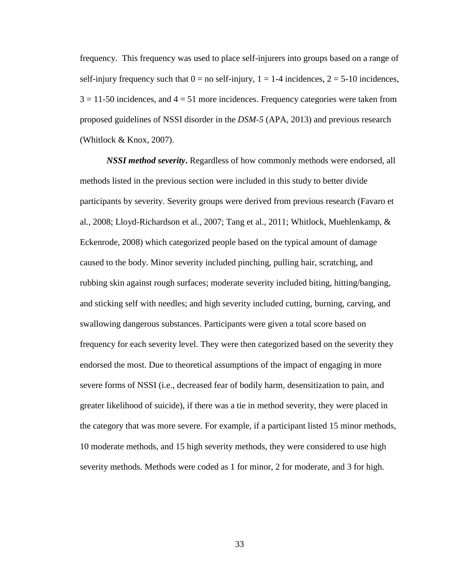frequency. This frequency was used to place self-injurers into groups based on a range of self-injury frequency such that  $0 =$  no self-injury,  $1 = 1-4$  incidences,  $2 = 5-10$  incidences,  $3 = 11-50$  incidences, and  $4 = 51$  more incidences. Frequency categories were taken from proposed guidelines of NSSI disorder in the *DSM-5* (APA, 2013) and previous research (Whitlock & Knox, 2007).

*NSSI method severity***.** Regardless of how commonly methods were endorsed, all methods listed in the previous section were included in this study to better divide participants by severity. Severity groups were derived from previous research (Favaro et al., 2008; Lloyd-Richardson et al., 2007; Tang et al., 2011; Whitlock, Muehlenkamp, & Eckenrode, 2008) which categorized people based on the typical amount of damage caused to the body. Minor severity included pinching, pulling hair, scratching, and rubbing skin against rough surfaces; moderate severity included biting, hitting/banging, and sticking self with needles; and high severity included cutting, burning, carving, and swallowing dangerous substances. Participants were given a total score based on frequency for each severity level. They were then categorized based on the severity they endorsed the most. Due to theoretical assumptions of the impact of engaging in more severe forms of NSSI (i.e., decreased fear of bodily harm, desensitization to pain, and greater likelihood of suicide), if there was a tie in method severity, they were placed in the category that was more severe. For example, if a participant listed 15 minor methods, 10 moderate methods, and 15 high severity methods, they were considered to use high severity methods. Methods were coded as 1 for minor, 2 for moderate, and 3 for high.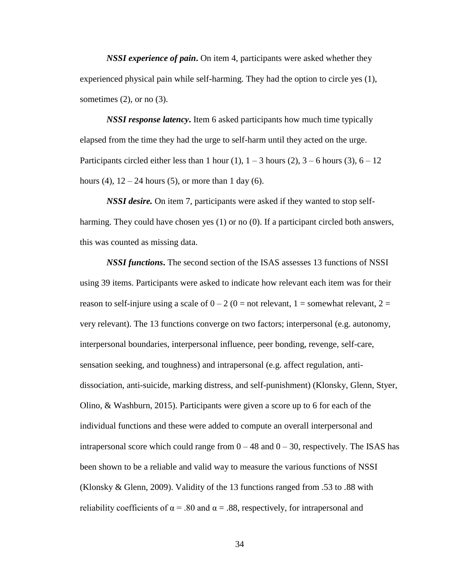*NSSI experience of pain***.** On item 4, participants were asked whether they experienced physical pain while self-harming. They had the option to circle yes (1), sometimes  $(2)$ , or no  $(3)$ .

*NSSI response latency***.** Item 6 asked participants how much time typically elapsed from the time they had the urge to self-harm until they acted on the urge. Participants circled either less than 1 hour (1),  $1 - 3$  hours (2),  $3 - 6$  hours (3),  $6 - 12$ hours (4),  $12 - 24$  hours (5), or more than 1 day (6).

*NSSI desire.* On item 7, participants were asked if they wanted to stop selfharming. They could have chosen yes (1) or no (0). If a participant circled both answers, this was counted as missing data.

*NSSI functions***.** The second section of the ISAS assesses 13 functions of NSSI using 39 items. Participants were asked to indicate how relevant each item was for their reason to self-injure using a scale of  $0 - 2$  ( $0 =$  not relevant,  $1 =$  somewhat relevant,  $2 =$ very relevant). The 13 functions converge on two factors; interpersonal (e.g. autonomy, interpersonal boundaries, interpersonal influence, peer bonding, revenge, self-care, sensation seeking, and toughness) and intrapersonal (e.g. affect regulation, antidissociation, anti-suicide, marking distress, and self-punishment) (Klonsky, Glenn, Styer, Olino, & Washburn, 2015). Participants were given a score up to 6 for each of the individual functions and these were added to compute an overall interpersonal and intrapersonal score which could range from  $0 - 48$  and  $0 - 30$ , respectively. The ISAS has been shown to be a reliable and valid way to measure the various functions of NSSI (Klonsky & Glenn, 2009). Validity of the 13 functions ranged from .53 to .88 with reliability coefficients of  $\alpha = .80$  and  $\alpha = .88$ , respectively, for intrapersonal and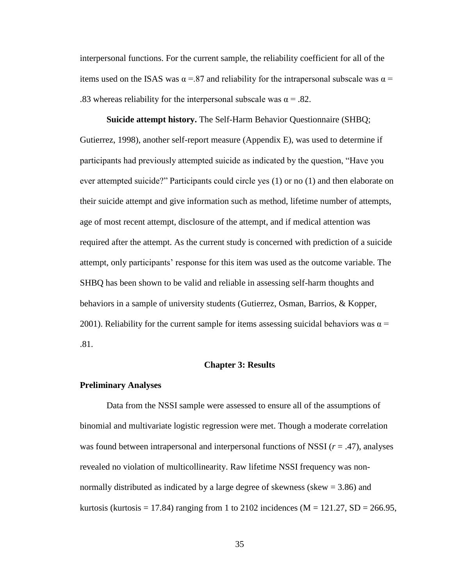interpersonal functions. For the current sample, the reliability coefficient for all of the items used on the ISAS was  $\alpha = 87$  and reliability for the intrapersonal subscale was  $\alpha =$ .83 whereas reliability for the interpersonal subscale was  $\alpha = .82$ .

**Suicide attempt history.** The Self-Harm Behavior Questionnaire (SHBQ; Gutierrez, 1998), another self-report measure (Appendix E), was used to determine if participants had previously attempted suicide as indicated by the question, "Have you ever attempted suicide?" Participants could circle yes (1) or no (1) and then elaborate on their suicide attempt and give information such as method, lifetime number of attempts, age of most recent attempt, disclosure of the attempt, and if medical attention was required after the attempt. As the current study is concerned with prediction of a suicide attempt, only participants' response for this item was used as the outcome variable. The SHBQ has been shown to be valid and reliable in assessing self-harm thoughts and behaviors in a sample of university students (Gutierrez, Osman, Barrios, & Kopper, 2001). Reliability for the current sample for items assessing suicidal behaviors was  $\alpha =$ .81.

#### **Chapter 3: Results**

#### **Preliminary Analyses**

Data from the NSSI sample were assessed to ensure all of the assumptions of binomial and multivariate logistic regression were met. Though a moderate correlation was found between intrapersonal and interpersonal functions of NSSI (*r* = .47), analyses revealed no violation of multicollinearity. Raw lifetime NSSI frequency was nonnormally distributed as indicated by a large degree of skewness (skew = 3.86) and kurtosis (kurtosis = 17.84) ranging from 1 to 2102 incidences ( $M = 121.27$ ,  $SD = 266.95$ ,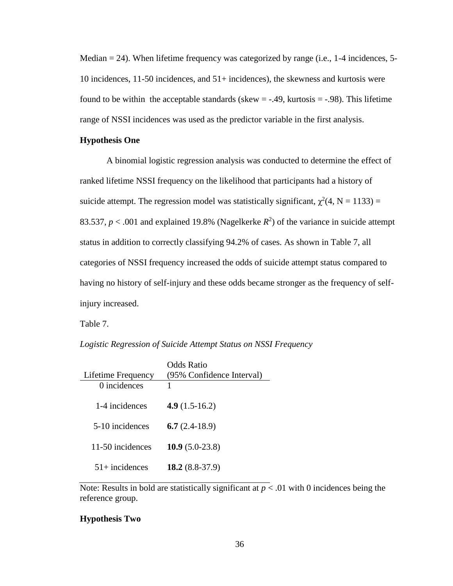Median  $= 24$ ). When lifetime frequency was categorized by range (i.e., 1-4 incidences, 5-10 incidences, 11-50 incidences, and 51+ incidences), the skewness and kurtosis were found to be within the acceptable standards (skew  $=$  -.49, kurtosis  $=$  -.98). This lifetime range of NSSI incidences was used as the predictor variable in the first analysis.

# **Hypothesis One**

A binomial logistic regression analysis was conducted to determine the effect of ranked lifetime NSSI frequency on the likelihood that participants had a history of suicide attempt. The regression model was statistically significant,  $\chi^2(4, N = 1133) =$ 83.537,  $p < .001$  and explained 19.8% (Nagelkerke  $R^2$ ) of the variance in suicide attempt status in addition to correctly classifying 94.2% of cases. As shown in Table 7, all categories of NSSI frequency increased the odds of suicide attempt status compared to having no history of self-injury and these odds became stronger as the frequency of selfinjury increased.

Table 7.

|                    | Odds Ratio                |
|--------------------|---------------------------|
| Lifetime Frequency | (95% Confidence Interval) |
| 0 incidences       | 1                         |
| 1-4 incidences     | 4.9 $(1.5-16.2)$          |
| 5-10 incidences    | 6.7 $(2.4-18.9)$          |
| 11-50 incidences   | $10.9(5.0-23.8)$          |
| $51+$ incidences   | 18.2 $(8.8-37.9)$         |

Note: Results in bold are statistically significant at  $p < .01$  with 0 incidences being the reference group.

# **Hypothesis Two**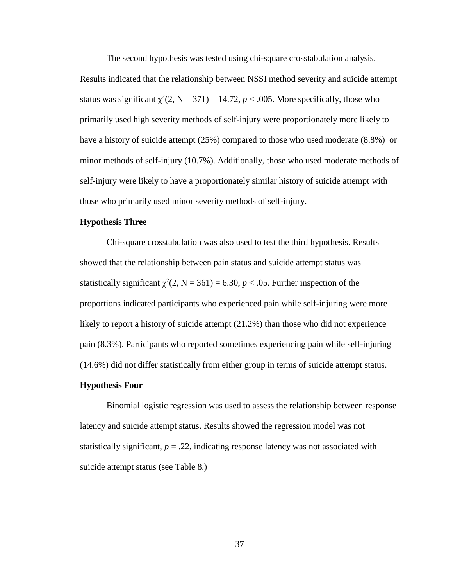The second hypothesis was tested using chi-square crosstabulation analysis.

Results indicated that the relationship between NSSI method severity and suicide attempt status was significant  $\chi^2(2, N = 371) = 14.72$ ,  $p < .005$ . More specifically, those who primarily used high severity methods of self-injury were proportionately more likely to have a history of suicide attempt (25%) compared to those who used moderate (8.8%) or minor methods of self-injury (10.7%). Additionally, those who used moderate methods of self-injury were likely to have a proportionately similar history of suicide attempt with those who primarily used minor severity methods of self-injury.

# **Hypothesis Three**

Chi-square crosstabulation was also used to test the third hypothesis. Results showed that the relationship between pain status and suicide attempt status was statistically significant  $\chi^2(2, N = 361) = 6.30, p < .05$ . Further inspection of the proportions indicated participants who experienced pain while self-injuring were more likely to report a history of suicide attempt (21.2%) than those who did not experience pain (8.3%). Participants who reported sometimes experiencing pain while self-injuring (14.6%) did not differ statistically from either group in terms of suicide attempt status.

#### **Hypothesis Four**

Binomial logistic regression was used to assess the relationship between response latency and suicide attempt status. Results showed the regression model was not statistically significant,  $p = 0.22$ , indicating response latency was not associated with suicide attempt status (see Table 8.)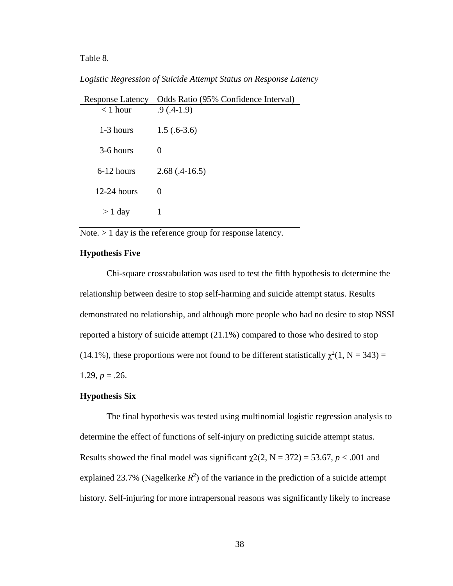Table 8.

# *Logistic Regression of Suicide Attempt Status on Response Latency*

| <b>Response Latency</b> | Odds Ratio (95% Confidence Interval) |
|-------------------------|--------------------------------------|
| $<$ 1 hour              | $.9(0.4-1.9)$                        |
|                         |                                      |
| 1-3 hours               | $1.5(.6-3.6)$                        |
| 3-6 hours               | $\mathbf{\Omega}$                    |
|                         |                                      |
| 6-12 hours              | $2.68(.4-16.5)$                      |
| $12-24$ hours           | $\theta$                             |
|                         |                                      |
| $> 1$ day               |                                      |

Note. > 1 day is the reference group for response latency.

# **Hypothesis Five**

Chi-square crosstabulation was used to test the fifth hypothesis to determine the relationship between desire to stop self-harming and suicide attempt status. Results demonstrated no relationship, and although more people who had no desire to stop NSSI reported a history of suicide attempt (21.1%) compared to those who desired to stop (14.1%), these proportions were not found to be different statistically  $\chi^2(1, N = 343) =$ 1.29,  $p = 0.26$ .

#### **Hypothesis Six**

The final hypothesis was tested using multinomial logistic regression analysis to determine the effect of functions of self-injury on predicting suicide attempt status. Results showed the final model was significant  $\gamma$ 2(2, N = 372) = 53.67, *p* < .001 and explained 23.7% (Nagelkerke  $R^2$ ) of the variance in the prediction of a suicide attempt history. Self-injuring for more intrapersonal reasons was significantly likely to increase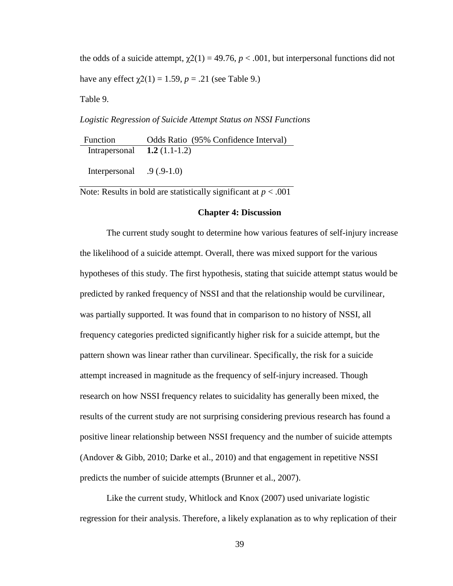the odds of a suicide attempt,  $\chi$ 2(1) = 49.76, *p* < .001, but interpersonal functions did not have any effect  $χ(1) = 1.59, p = .21$  (see Table 9.)

Table 9.

#### *Logistic Regression of Suicide Attempt Status on NSSI Functions*

Function Odds Ratio (95% Confidence Interval) Intrapersonal **1.2** (1.1-1.2)

Interpersonal .9 (.9-1.0)

Note: Results in bold are statistically significant at *p* < .001

#### **Chapter 4: Discussion**

The current study sought to determine how various features of self-injury increase the likelihood of a suicide attempt. Overall, there was mixed support for the various hypotheses of this study. The first hypothesis, stating that suicide attempt status would be predicted by ranked frequency of NSSI and that the relationship would be curvilinear, was partially supported. It was found that in comparison to no history of NSSI, all frequency categories predicted significantly higher risk for a suicide attempt, but the pattern shown was linear rather than curvilinear. Specifically, the risk for a suicide attempt increased in magnitude as the frequency of self-injury increased. Though research on how NSSI frequency relates to suicidality has generally been mixed, the results of the current study are not surprising considering previous research has found a positive linear relationship between NSSI frequency and the number of suicide attempts (Andover & Gibb, 2010; Darke et al., 2010) and that engagement in repetitive NSSI predicts the number of suicide attempts (Brunner et al., 2007).

Like the current study, Whitlock and Knox (2007) used univariate logistic regression for their analysis. Therefore, a likely explanation as to why replication of their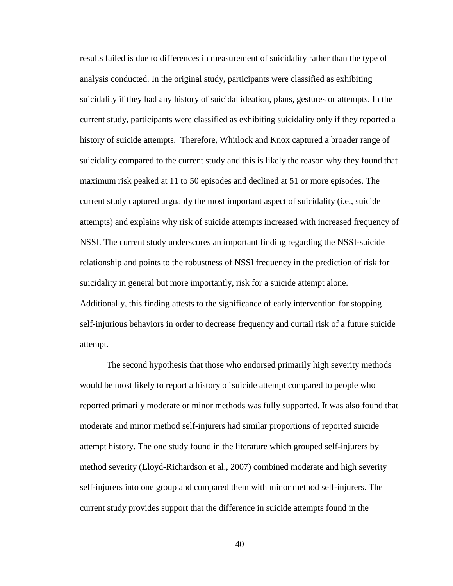results failed is due to differences in measurement of suicidality rather than the type of analysis conducted. In the original study, participants were classified as exhibiting suicidality if they had any history of suicidal ideation, plans, gestures or attempts. In the current study, participants were classified as exhibiting suicidality only if they reported a history of suicide attempts. Therefore, Whitlock and Knox captured a broader range of suicidality compared to the current study and this is likely the reason why they found that maximum risk peaked at 11 to 50 episodes and declined at 51 or more episodes. The current study captured arguably the most important aspect of suicidality (i.e., suicide attempts) and explains why risk of suicide attempts increased with increased frequency of NSSI. The current study underscores an important finding regarding the NSSI-suicide relationship and points to the robustness of NSSI frequency in the prediction of risk for suicidality in general but more importantly, risk for a suicide attempt alone. Additionally, this finding attests to the significance of early intervention for stopping self-injurious behaviors in order to decrease frequency and curtail risk of a future suicide attempt.

The second hypothesis that those who endorsed primarily high severity methods would be most likely to report a history of suicide attempt compared to people who reported primarily moderate or minor methods was fully supported. It was also found that moderate and minor method self-injurers had similar proportions of reported suicide attempt history. The one study found in the literature which grouped self-injurers by method severity (Lloyd-Richardson et al., 2007) combined moderate and high severity self-injurers into one group and compared them with minor method self-injurers. The current study provides support that the difference in suicide attempts found in the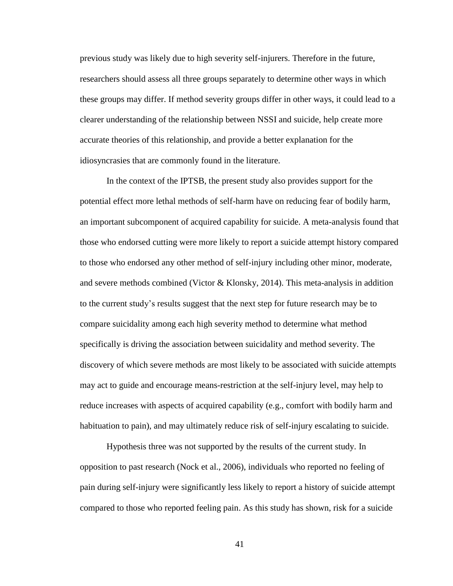previous study was likely due to high severity self-injurers. Therefore in the future, researchers should assess all three groups separately to determine other ways in which these groups may differ. If method severity groups differ in other ways, it could lead to a clearer understanding of the relationship between NSSI and suicide, help create more accurate theories of this relationship, and provide a better explanation for the idiosyncrasies that are commonly found in the literature.

In the context of the IPTSB, the present study also provides support for the potential effect more lethal methods of self-harm have on reducing fear of bodily harm, an important subcomponent of acquired capability for suicide. A meta-analysis found that those who endorsed cutting were more likely to report a suicide attempt history compared to those who endorsed any other method of self-injury including other minor, moderate, and severe methods combined (Victor & Klonsky, 2014). This meta-analysis in addition to the current study's results suggest that the next step for future research may be to compare suicidality among each high severity method to determine what method specifically is driving the association between suicidality and method severity. The discovery of which severe methods are most likely to be associated with suicide attempts may act to guide and encourage means-restriction at the self-injury level, may help to reduce increases with aspects of acquired capability (e.g., comfort with bodily harm and habituation to pain), and may ultimately reduce risk of self-injury escalating to suicide.

Hypothesis three was not supported by the results of the current study. In opposition to past research (Nock et al., 2006), individuals who reported no feeling of pain during self-injury were significantly less likely to report a history of suicide attempt compared to those who reported feeling pain. As this study has shown, risk for a suicide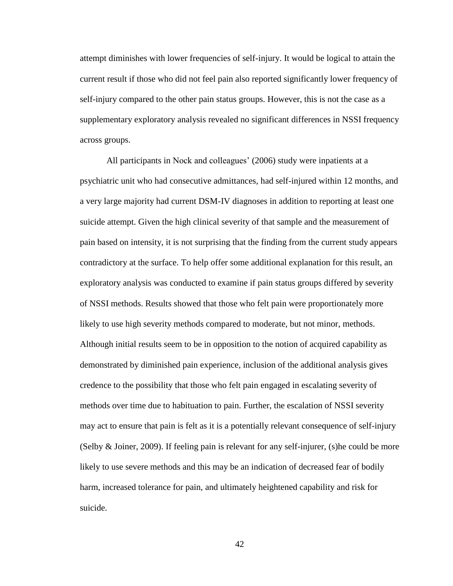attempt diminishes with lower frequencies of self-injury. It would be logical to attain the current result if those who did not feel pain also reported significantly lower frequency of self-injury compared to the other pain status groups. However, this is not the case as a supplementary exploratory analysis revealed no significant differences in NSSI frequency across groups.

All participants in Nock and colleagues' (2006) study were inpatients at a psychiatric unit who had consecutive admittances, had self-injured within 12 months, and a very large majority had current DSM-IV diagnoses in addition to reporting at least one suicide attempt. Given the high clinical severity of that sample and the measurement of pain based on intensity, it is not surprising that the finding from the current study appears contradictory at the surface. To help offer some additional explanation for this result, an exploratory analysis was conducted to examine if pain status groups differed by severity of NSSI methods. Results showed that those who felt pain were proportionately more likely to use high severity methods compared to moderate, but not minor, methods. Although initial results seem to be in opposition to the notion of acquired capability as demonstrated by diminished pain experience, inclusion of the additional analysis gives credence to the possibility that those who felt pain engaged in escalating severity of methods over time due to habituation to pain. Further, the escalation of NSSI severity may act to ensure that pain is felt as it is a potentially relevant consequence of self-injury (Selby & Joiner, 2009). If feeling pain is relevant for any self-injurer, (s)he could be more likely to use severe methods and this may be an indication of decreased fear of bodily harm, increased tolerance for pain, and ultimately heightened capability and risk for suicide.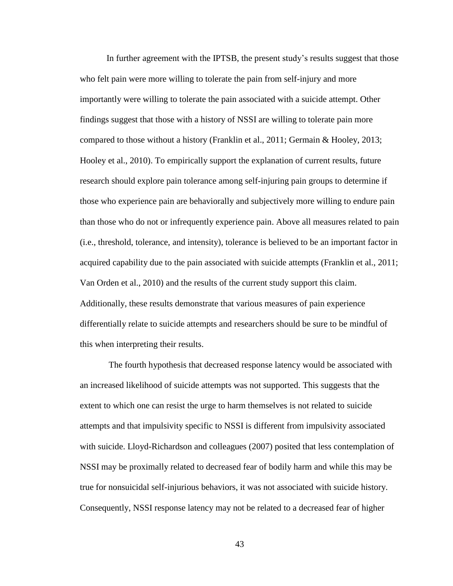In further agreement with the IPTSB, the present study's results suggest that those who felt pain were more willing to tolerate the pain from self-injury and more importantly were willing to tolerate the pain associated with a suicide attempt. Other findings suggest that those with a history of NSSI are willing to tolerate pain more compared to those without a history (Franklin et al., 2011; Germain & Hooley, 2013; Hooley et al., 2010). To empirically support the explanation of current results, future research should explore pain tolerance among self-injuring pain groups to determine if those who experience pain are behaviorally and subjectively more willing to endure pain than those who do not or infrequently experience pain. Above all measures related to pain (i.e., threshold, tolerance, and intensity), tolerance is believed to be an important factor in acquired capability due to the pain associated with suicide attempts (Franklin et al., 2011; Van Orden et al., 2010) and the results of the current study support this claim. Additionally, these results demonstrate that various measures of pain experience differentially relate to suicide attempts and researchers should be sure to be mindful of this when interpreting their results.

The fourth hypothesis that decreased response latency would be associated with an increased likelihood of suicide attempts was not supported. This suggests that the extent to which one can resist the urge to harm themselves is not related to suicide attempts and that impulsivity specific to NSSI is different from impulsivity associated with suicide. Lloyd-Richardson and colleagues (2007) posited that less contemplation of NSSI may be proximally related to decreased fear of bodily harm and while this may be true for nonsuicidal self-injurious behaviors, it was not associated with suicide history. Consequently, NSSI response latency may not be related to a decreased fear of higher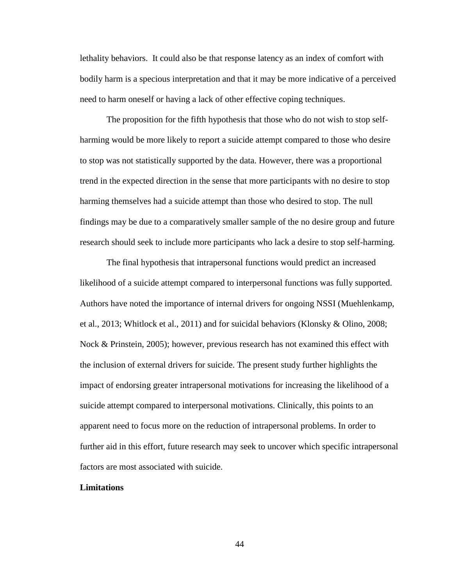lethality behaviors. It could also be that response latency as an index of comfort with bodily harm is a specious interpretation and that it may be more indicative of a perceived need to harm oneself or having a lack of other effective coping techniques.

The proposition for the fifth hypothesis that those who do not wish to stop selfharming would be more likely to report a suicide attempt compared to those who desire to stop was not statistically supported by the data. However, there was a proportional trend in the expected direction in the sense that more participants with no desire to stop harming themselves had a suicide attempt than those who desired to stop. The null findings may be due to a comparatively smaller sample of the no desire group and future research should seek to include more participants who lack a desire to stop self-harming.

The final hypothesis that intrapersonal functions would predict an increased likelihood of a suicide attempt compared to interpersonal functions was fully supported. Authors have noted the importance of internal drivers for ongoing NSSI (Muehlenkamp, et al., 2013; Whitlock et al., 2011) and for suicidal behaviors (Klonsky & Olino, 2008; Nock & Prinstein, 2005); however, previous research has not examined this effect with the inclusion of external drivers for suicide. The present study further highlights the impact of endorsing greater intrapersonal motivations for increasing the likelihood of a suicide attempt compared to interpersonal motivations. Clinically, this points to an apparent need to focus more on the reduction of intrapersonal problems. In order to further aid in this effort, future research may seek to uncover which specific intrapersonal factors are most associated with suicide.

#### **Limitations**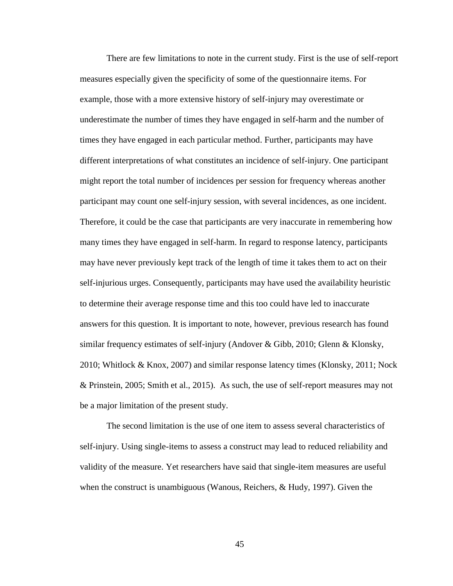There are few limitations to note in the current study. First is the use of self-report measures especially given the specificity of some of the questionnaire items. For example, those with a more extensive history of self-injury may overestimate or underestimate the number of times they have engaged in self-harm and the number of times they have engaged in each particular method. Further, participants may have different interpretations of what constitutes an incidence of self-injury. One participant might report the total number of incidences per session for frequency whereas another participant may count one self-injury session, with several incidences, as one incident. Therefore, it could be the case that participants are very inaccurate in remembering how many times they have engaged in self-harm. In regard to response latency, participants may have never previously kept track of the length of time it takes them to act on their self-injurious urges. Consequently, participants may have used the availability heuristic to determine their average response time and this too could have led to inaccurate answers for this question. It is important to note, however, previous research has found similar frequency estimates of self-injury (Andover & Gibb, 2010; Glenn & Klonsky, 2010; Whitlock & Knox, 2007) and similar response latency times (Klonsky, 2011; Nock & Prinstein, 2005; Smith et al., 2015). As such, the use of self-report measures may not be a major limitation of the present study.

The second limitation is the use of one item to assess several characteristics of self-injury. Using single-items to assess a construct may lead to reduced reliability and validity of the measure. Yet researchers have said that single-item measures are useful when the construct is unambiguous (Wanous, Reichers, & Hudy, 1997). Given the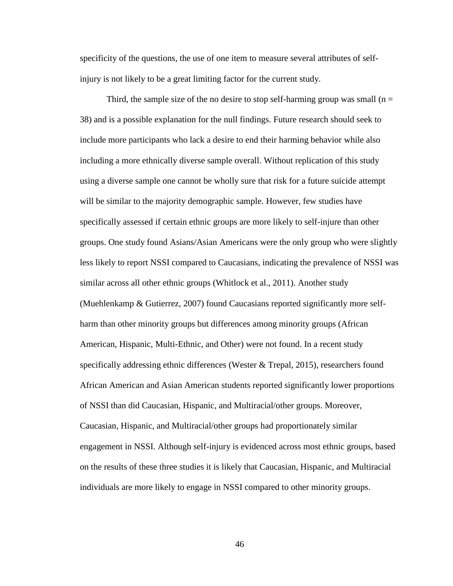specificity of the questions, the use of one item to measure several attributes of selfinjury is not likely to be a great limiting factor for the current study.

Third, the sample size of the no desire to stop self-harming group was small ( $n =$ 38) and is a possible explanation for the null findings. Future research should seek to include more participants who lack a desire to end their harming behavior while also including a more ethnically diverse sample overall. Without replication of this study using a diverse sample one cannot be wholly sure that risk for a future suicide attempt will be similar to the majority demographic sample. However, few studies have specifically assessed if certain ethnic groups are more likely to self-injure than other groups. One study found Asians/Asian Americans were the only group who were slightly less likely to report NSSI compared to Caucasians, indicating the prevalence of NSSI was similar across all other ethnic groups (Whitlock et al., 2011). Another study (Muehlenkamp & Gutierrez, 2007) found Caucasians reported significantly more selfharm than other minority groups but differences among minority groups (African American, Hispanic, Multi-Ethnic, and Other) were not found. In a recent study specifically addressing ethnic differences (Wester & Trepal, 2015), researchers found African American and Asian American students reported significantly lower proportions of NSSI than did Caucasian, Hispanic, and Multiracial/other groups. Moreover, Caucasian, Hispanic, and Multiracial/other groups had proportionately similar engagement in NSSI. Although self-injury is evidenced across most ethnic groups, based on the results of these three studies it is likely that Caucasian, Hispanic, and Multiracial individuals are more likely to engage in NSSI compared to other minority groups.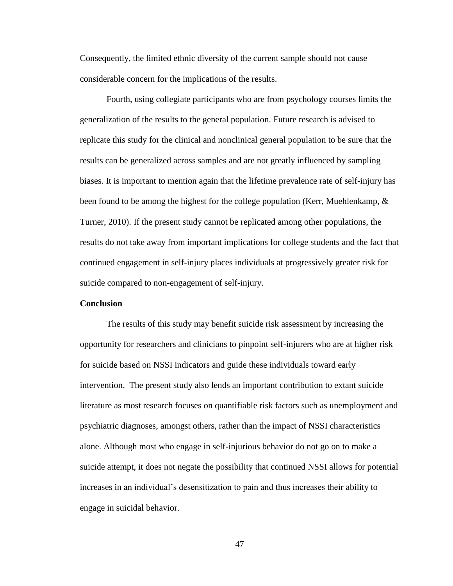Consequently, the limited ethnic diversity of the current sample should not cause considerable concern for the implications of the results.

Fourth, using collegiate participants who are from psychology courses limits the generalization of the results to the general population. Future research is advised to replicate this study for the clinical and nonclinical general population to be sure that the results can be generalized across samples and are not greatly influenced by sampling biases. It is important to mention again that the lifetime prevalence rate of self-injury has been found to be among the highest for the college population (Kerr, Muehlenkamp,  $\&$ Turner, 2010). If the present study cannot be replicated among other populations, the results do not take away from important implications for college students and the fact that continued engagement in self-injury places individuals at progressively greater risk for suicide compared to non-engagement of self-injury.

#### **Conclusion**

The results of this study may benefit suicide risk assessment by increasing the opportunity for researchers and clinicians to pinpoint self-injurers who are at higher risk for suicide based on NSSI indicators and guide these individuals toward early intervention. The present study also lends an important contribution to extant suicide literature as most research focuses on quantifiable risk factors such as unemployment and psychiatric diagnoses, amongst others, rather than the impact of NSSI characteristics alone. Although most who engage in self-injurious behavior do not go on to make a suicide attempt, it does not negate the possibility that continued NSSI allows for potential increases in an individual's desensitization to pain and thus increases their ability to engage in suicidal behavior.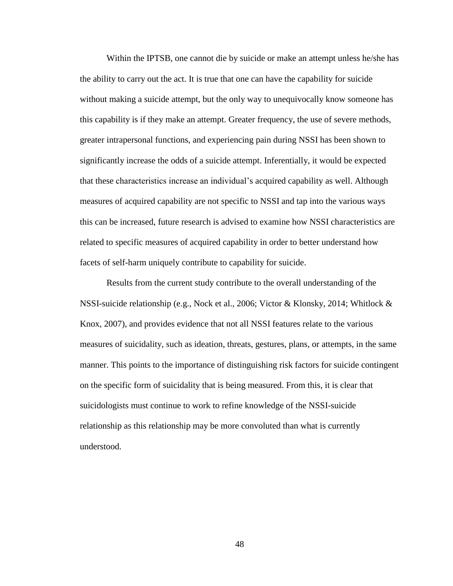Within the IPTSB, one cannot die by suicide or make an attempt unless he/she has the ability to carry out the act. It is true that one can have the capability for suicide without making a suicide attempt, but the only way to unequivocally know someone has this capability is if they make an attempt. Greater frequency, the use of severe methods, greater intrapersonal functions, and experiencing pain during NSSI has been shown to significantly increase the odds of a suicide attempt. Inferentially, it would be expected that these characteristics increase an individual's acquired capability as well. Although measures of acquired capability are not specific to NSSI and tap into the various ways this can be increased, future research is advised to examine how NSSI characteristics are related to specific measures of acquired capability in order to better understand how facets of self-harm uniquely contribute to capability for suicide.

Results from the current study contribute to the overall understanding of the NSSI-suicide relationship (e.g., Nock et al., 2006; Victor & Klonsky, 2014; Whitlock & Knox, 2007), and provides evidence that not all NSSI features relate to the various measures of suicidality, such as ideation, threats, gestures, plans, or attempts, in the same manner. This points to the importance of distinguishing risk factors for suicide contingent on the specific form of suicidality that is being measured. From this, it is clear that suicidologists must continue to work to refine knowledge of the NSSI-suicide relationship as this relationship may be more convoluted than what is currently understood.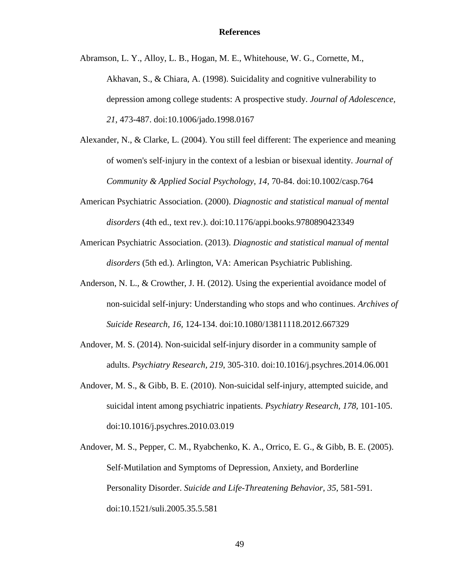Abramson, L. Y., Alloy, L. B., Hogan, M. E., Whitehouse, W. G., Cornette, M., Akhavan, S., & Chiara, A. (1998). Suicidality and cognitive vulnerability to depression among college students: A prospective study. *Journal of Adolescence, 21*, 473-487. doi:10.1006/jado.1998.0167

- Alexander, N., & Clarke, L. (2004). You still feel different: The experience and meaning of women's self‐injury in the context of a lesbian or bisexual identity. *Journal of Community & Applied Social Psychology, 14,* 70-84. doi:10.1002/casp.764
- American Psychiatric Association. (2000). *Diagnostic and statistical manual of mental disorders* (4th ed., text rev.). doi:10.1176/appi.books.9780890423349
- American Psychiatric Association. (2013). *Diagnostic and statistical manual of mental disorders* (5th ed.). Arlington, VA: American Psychiatric Publishing.
- Anderson, N. L., & Crowther, J. H. (2012). Using the experiential avoidance model of non-suicidal self-injury: Understanding who stops and who continues. *Archives of Suicide Research, 16,* 124-134. doi:10.1080/13811118.2012.667329
- Andover, M. S. (2014). Non-suicidal self-injury disorder in a community sample of adults. *Psychiatry Research, 219*, 305-310. doi:10.1016/j.psychres.2014.06.001
- Andover, M. S., & Gibb, B. E. (2010). Non-suicidal self-injury, attempted suicide, and suicidal intent among psychiatric inpatients. *Psychiatry Research, 178,* 101-105. doi:10.1016/j.psychres.2010.03.019
- Andover, M. S., Pepper, C. M., Ryabchenko, K. A., Orrico, E. G., & Gibb, B. E. (2005). Self‐Mutilation and Symptoms of Depression, Anxiety, and Borderline Personality Disorder. *Suicide and Life-Threatening Behavior, 35,* 581-591. doi:10.1521/suli.2005.35.5.581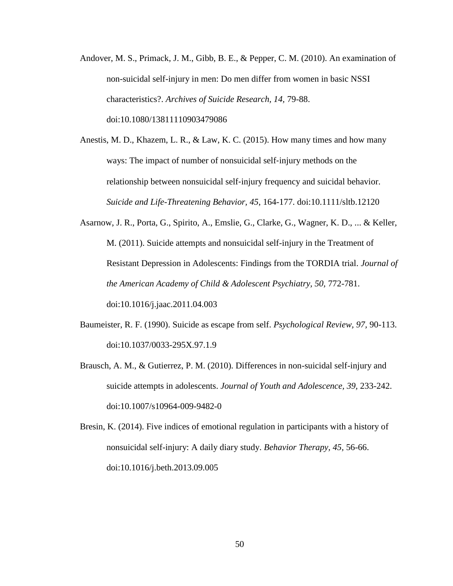Andover, M. S., Primack, J. M., Gibb, B. E., & Pepper, C. M. (2010). An examination of non-suicidal self-injury in men: Do men differ from women in basic NSSI characteristics?. *Archives of Suicide Research, 14,* 79-88. doi:10.1080/13811110903479086

Anestis, M. D., Khazem, L. R., & Law, K. C. (2015). How many times and how many ways: The impact of number of nonsuicidal self-injury methods on the relationship between nonsuicidal self‐injury frequency and suicidal behavior. *Suicide and Life-Threatening Behavior, 45*, 164-177. doi:10.1111/sltb.12120

- Asarnow, J. R., Porta, G., Spirito, A., Emslie, G., Clarke, G., Wagner, K. D., ... & Keller, M. (2011). Suicide attempts and nonsuicidal self-injury in the Treatment of Resistant Depression in Adolescents: Findings from the TORDIA trial. *Journal of the American Academy of Child & Adolescent Psychiatry, 50, 772-781.* doi:10.1016/j.jaac.2011.04.003
- Baumeister, R. F. (1990). Suicide as escape from self. *Psychological Review, 97,* 90-113. doi:10.1037/0033-295X.97.1.9
- Brausch, A. M., & Gutierrez, P. M. (2010). Differences in non-suicidal self-injury and suicide attempts in adolescents. *Journal of Youth and Adolescence, 39,* 233-242. doi:10.1007/s10964-009-9482-0
- Bresin, K. (2014). Five indices of emotional regulation in participants with a history of nonsuicidal self-injury: A daily diary study. *Behavior Therapy, 45,* 56-66. doi:10.1016/j.beth.2013.09.005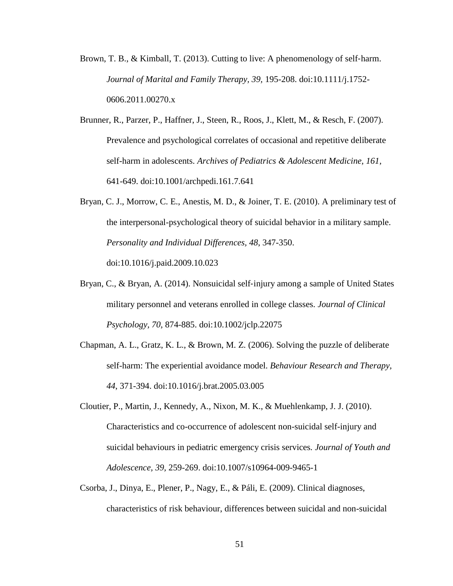- Brown, T. B., & Kimball, T. (2013). Cutting to live: A phenomenology of self-harm. *Journal of Marital and Family Therapy, 39,* 195-208. doi:10.1111/j.1752- 0606.2011.00270.x
- Brunner, R., Parzer, P., Haffner, J., Steen, R., Roos, J., Klett, M., & Resch, F. (2007). Prevalence and psychological correlates of occasional and repetitive deliberate self-harm in adolescents. *Archives of Pediatrics & Adolescent Medicine, 161,* 641-649. doi:10.1001/archpedi.161.7.641
- Bryan, C. J., Morrow, C. E., Anestis, M. D., & Joiner, T. E. (2010). A preliminary test of the interpersonal-psychological theory of suicidal behavior in a military sample. *Personality and Individual Differences, 48*, 347-350. doi:10.1016/j.paid.2009.10.023
- Bryan, C., & Bryan, A. (2014). Nonsuicidal self-injury among a sample of United States military personnel and veterans enrolled in college classes. *Journal of Clinical Psychology, 70,* 874-885. doi:10.1002/jclp.22075
- Chapman, A. L., Gratz, K. L., & Brown, M. Z. (2006). Solving the puzzle of deliberate self-harm: The experiential avoidance model. *Behaviour Research and Therapy, 44*, 371-394. doi:10.1016/j.brat.2005.03.005
- Cloutier, P., Martin, J., Kennedy, A., Nixon, M. K., & Muehlenkamp, J. J. (2010). Characteristics and co-occurrence of adolescent non-suicidal self-injury and suicidal behaviours in pediatric emergency crisis services*. Journal of Youth and Adolescence, 39,* 259-269. doi:10.1007/s10964-009-9465-1
- Csorba, J., Dinya, E., Plener, P., Nagy, E., & Páli, E. (2009). Clinical diagnoses, characteristics of risk behaviour, differences between suicidal and non-suicidal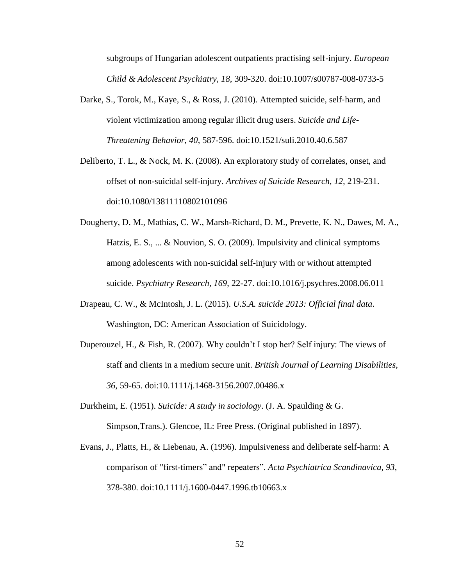subgroups of Hungarian adolescent outpatients practising self-injury. *European Child & Adolescent Psychiatry, 18,* 309-320. doi:10.1007/s00787-008-0733-5

- Darke, S., Torok, M., Kaye, S., & Ross, J. (2010). Attempted suicide, self‐harm, and violent victimization among regular illicit drug users. *Suicide and Life-Threatening Behavior, 40*, 587-596. doi:10.1521/suli.2010.40.6.587
- Deliberto, T. L., & Nock, M. K. (2008). An exploratory study of correlates, onset, and offset of non-suicidal self-injury. *Archives of Suicide Research, 12,* 219-231. doi:10.1080/13811110802101096
- Dougherty, D. M., Mathias, C. W., Marsh-Richard, D. M., Prevette, K. N., Dawes, M. A., Hatzis, E. S., ... & Nouvion, S. O. (2009). Impulsivity and clinical symptoms among adolescents with non-suicidal self-injury with or without attempted suicide. *Psychiatry Research, 169*, 22-27. doi:10.1016/j.psychres.2008.06.011
- Drapeau, C. W., & McIntosh, J. L. (2015). *U.S.A. suicide 2013: Official final data*. Washington, DC: American Association of Suicidology.
- Duperouzel, H., & Fish, R. (2007). Why couldn't I stop her? Self injury: The views of staff and clients in a medium secure unit. *British Journal of Learning Disabilities, 36,* 59-65. doi:10.1111/j.1468-3156.2007.00486.x
- Durkheim, E. (1951). *Suicide: A study in sociology*. (J. A. Spaulding & G. Simpson,Trans.). Glencoe, IL: Free Press. (Original published in 1897).
- Evans, J., Platts, H., & Liebenau, A. (1996). Impulsiveness and deliberate self-harm: A comparison of "first-timers" and" repeaters". *Acta Psychiatrica Scandinavica, 93*, 378-380. doi:10.1111/j.1600-0447.1996.tb10663.x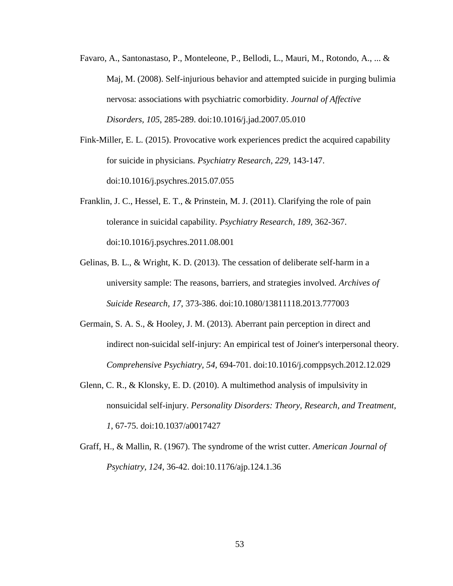- Favaro, A., Santonastaso, P., Monteleone, P., Bellodi, L., Mauri, M., Rotondo, A., ... & Maj, M. (2008). Self-injurious behavior and attempted suicide in purging bulimia nervosa: associations with psychiatric comorbidity. *Journal of Affective Disorders, 105*, 285-289. doi:10.1016/j.jad.2007.05.010
- Fink-Miller, E. L. (2015). Provocative work experiences predict the acquired capability for suicide in physicians. *Psychiatry Research, 229,* 143-147. doi:10.1016/j.psychres.2015.07.055
- Franklin, J. C., Hessel, E. T., & Prinstein, M. J. (2011). Clarifying the role of pain tolerance in suicidal capability. *Psychiatry Research, 189,* 362-367. doi:10.1016/j.psychres.2011.08.001
- Gelinas, B. L., & Wright, K. D. (2013). The cessation of deliberate self-harm in a university sample: The reasons, barriers, and strategies involved. *Archives of Suicide Research, 17*, 373-386. doi:10.1080/13811118.2013.777003
- Germain, S. A. S., & Hooley, J. M. (2013). Aberrant pain perception in direct and indirect non-suicidal self-injury: An empirical test of Joiner's interpersonal theory. *Comprehensive Psychiatry, 54,* 694-701. doi:10.1016/j.comppsych.2012.12.029
- Glenn, C. R., & Klonsky, E. D. (2010). A multimethod analysis of impulsivity in nonsuicidal self-injury. *Personality Disorders: Theory, Research, and Treatment, 1*, 67-75. doi:10.1037/a0017427
- Graff, H., & Mallin, R. (1967). The syndrome of the wrist cutter. *American Journal of Psychiatry, 124*, 36-42. doi:10.1176/ajp.124.1.36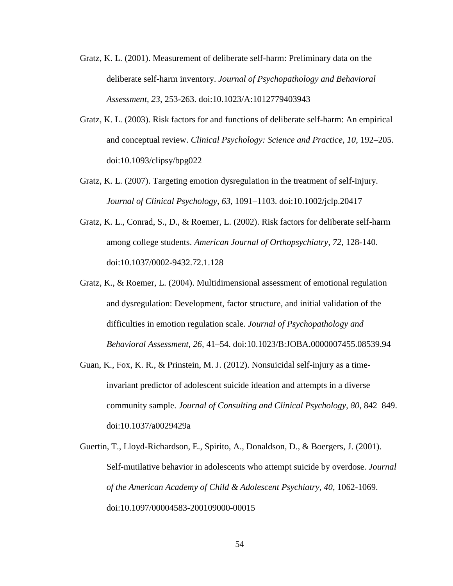- Gratz, K. L. (2001). Measurement of deliberate self-harm: Preliminary data on the deliberate self-harm inventory. *Journal of Psychopathology and Behavioral Assessment, 23,* 253-263. doi:10.1023/A:1012779403943
- Gratz, K. L. (2003). Risk factors for and functions of deliberate self-harm: An empirical and conceptual review. *Clinical Psychology: Science and Practice, 10*, 192–205. doi:10.1093/clipsy/bpg022
- Gratz, K. L. (2007). Targeting emotion dysregulation in the treatment of self-injury. *Journal of Clinical Psychology, 63,* 1091–1103. doi:10.1002/jclp.20417
- Gratz, K. L., Conrad, S., D., & Roemer, L. (2002). Risk factors for deliberate self-harm among college students. *American Journal of Orthopsychiatry, 72,* 128-140. doi:10.1037/0002-9432.72.1.128
- Gratz, K., & Roemer, L. (2004). Multidimensional assessment of emotional regulation and dysregulation: Development, factor structure, and initial validation of the difficulties in emotion regulation scale. *Journal of Psychopathology and Behavioral Assessment, 26,* 41–54. doi:10.1023/B:JOBA.0000007455.08539.94
- Guan, K., Fox, K. R., & Prinstein, M. J. (2012). Nonsuicidal self-injury as a timeinvariant predictor of adolescent suicide ideation and attempts in a diverse community sample. *Journal of Consulting and Clinical Psychology, 80*, 842–849. doi:10.1037/a0029429a
- Guertin, T., Lloyd-Richardson, E., Spirito, A., Donaldson, D., & Boergers, J. (2001). Self-mutilative behavior in adolescents who attempt suicide by overdose. *Journal of the American Academy of Child & Adolescent Psychiatry, 40*, 1062-1069. doi:10.1097/00004583-200109000-00015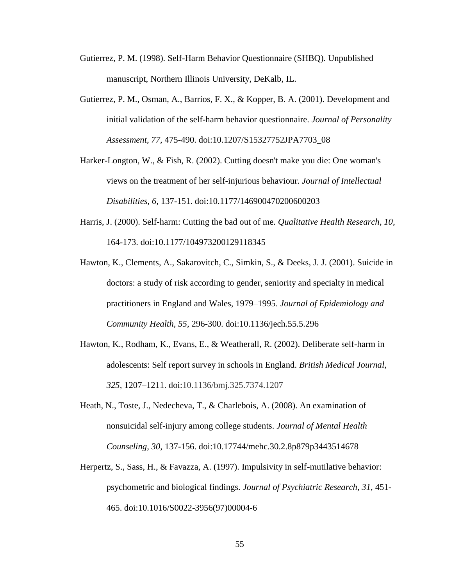- Gutierrez, P. M. (1998). Self-Harm Behavior Questionnaire (SHBQ). Unpublished manuscript, Northern Illinois University, DeKalb, IL.
- Gutierrez, P. M., Osman, A., Barrios, F. X., & Kopper, B. A. (2001). Development and initial validation of the self-harm behavior questionnaire. *Journal of Personality Assessment, 77,* 475-490. doi:10.1207/S15327752JPA7703\_08
- Harker-Longton, W., & Fish, R. (2002). Cutting doesn't make you die: One woman's views on the treatment of her self-injurious behaviour*. Journal of Intellectual Disabilities, 6,* 137-151. doi:10.1177/146900470200600203
- Harris, J. (2000). Self-harm: Cutting the bad out of me. *Qualitative Health Research, 10,* 164-173. doi:10.1177/104973200129118345
- Hawton, K., Clements, A., Sakarovitch, C., Simkin, S., & Deeks, J. J. (2001). Suicide in doctors: a study of risk according to gender, seniority and specialty in medical practitioners in England and Wales, 1979–1995. *Journal of Epidemiology and Community Health, 55,* 296-300. doi:10.1136/jech.55.5.296
- Hawton, K., Rodham, K., Evans, E., & Weatherall, R. (2002). Deliberate self-harm in adolescents: Self report survey in schools in England. *British Medical Journal, 325,* 1207–1211. doi:10.1136/bmj.325.7374.1207
- Heath, N., Toste, J., Nedecheva, T., & Charlebois, A. (2008). An examination of nonsuicidal self-injury among college students. *Journal of Mental Health Counseling, 30,* 137-156. doi:10.17744/mehc.30.2.8p879p3443514678
- Herpertz, S., Sass, H., & Favazza, A. (1997). Impulsivity in self-mutilative behavior: psychometric and biological findings. *Journal of Psychiatric Research, 31,* 451- 465. doi:10.1016/S0022-3956(97)00004-6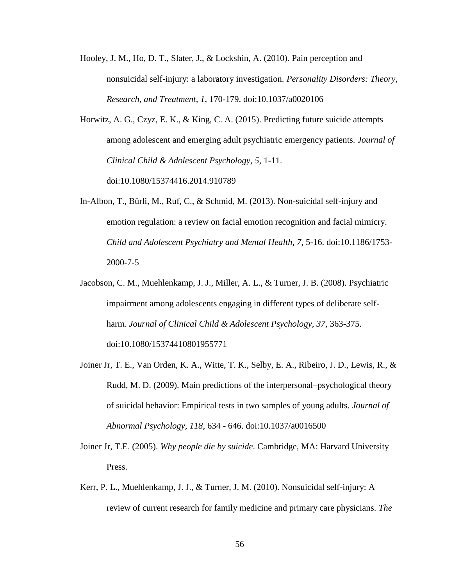- Hooley, J. M., Ho, D. T., Slater, J., & Lockshin, A. (2010). Pain perception and nonsuicidal self-injury: a laboratory investigation. *Personality Disorders: Theory, Research, and Treatment, 1*, 170-179. doi:10.1037/a0020106
- Horwitz, A. G., Czyz, E. K., & King, C. A. (2015). Predicting future suicide attempts among adolescent and emerging adult psychiatric emergency patients. *Journal of Clinical Child & Adolescent Psychology, 5,* 1-11. doi:10.1080/15374416.2014.910789
- In-Albon, T., Bürli, M., Ruf, C., & Schmid, M. (2013). Non-suicidal self-injury and emotion regulation: a review on facial emotion recognition and facial mimicry. *Child and Adolescent Psychiatry and Mental Health, 7,* 5-16. doi:10.1186/1753- 2000-7-5
- Jacobson, C. M., Muehlenkamp, J. J., Miller, A. L., & Turner, J. B. (2008). Psychiatric impairment among adolescents engaging in different types of deliberate selfharm. *Journal of Clinical Child & Adolescent Psychology, 37,* 363-375. doi:10.1080/15374410801955771
- Joiner Jr, T. E., Van Orden, K. A., Witte, T. K., Selby, E. A., Ribeiro, J. D., Lewis, R., & Rudd, M. D. (2009). Main predictions of the interpersonal–psychological theory of suicidal behavior: Empirical tests in two samples of young adults. *Journal of Abnormal Psychology, 118*, 634 - 646. doi:10.1037/a0016500
- Joiner Jr, T.E. (2005). *Why people die by suicide*. Cambridge, MA: Harvard University Press.
- Kerr, P. L., Muehlenkamp, J. J., & Turner, J. M. (2010). Nonsuicidal self-injury: A review of current research for family medicine and primary care physicians. *The*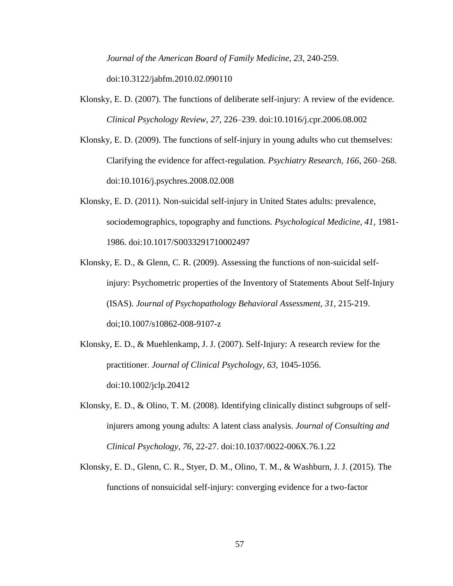*Journal of the American Board of Family Medicine, 23*, 240-259. doi:10.3122/jabfm.2010.02.090110

- Klonsky, E. D. (2007). The functions of deliberate self-injury: A review of the evidence. *Clinical Psychology Review, 27*, 226–239. doi:10.1016/j.cpr.2006.08.002
- Klonsky, E. D. (2009). The functions of self-injury in young adults who cut themselves: Clarifying the evidence for affect-regulation. *Psychiatry Research, 166*, 260–268. doi:10.1016/j.psychres.2008.02.008
- Klonsky, E. D. (2011). Non-suicidal self-injury in United States adults: prevalence, sociodemographics, topography and functions. *Psychological Medicine, 41,* 1981- 1986. doi:10.1017/S0033291710002497
- Klonsky, E. D., & Glenn, C. R. (2009). Assessing the functions of non-suicidal selfinjury: Psychometric properties of the Inventory of Statements About Self-Injury (ISAS). *Journal of Psychopathology Behavioral Assessment, 31,* 215-219. doi;10.1007/s10862-008-9107-z
- Klonsky, E. D., & Muehlenkamp, J. J. (2007). Self-Injury: A research review for the practitioner. *Journal of Clinical Psychology, 63,* 1045-1056. doi:10.1002/jclp.20412
- Klonsky, E. D., & Olino, T. M. (2008). Identifying clinically distinct subgroups of selfinjurers among young adults: A latent class analysis. *Journal of Consulting and Clinical Psychology, 76*, 22-27. doi:10.1037/0022-006X.76.1.22
- Klonsky, E. D., Glenn, C. R., Styer, D. M., Olino, T. M., & Washburn, J. J. (2015). The functions of nonsuicidal self-injury: converging evidence for a two-factor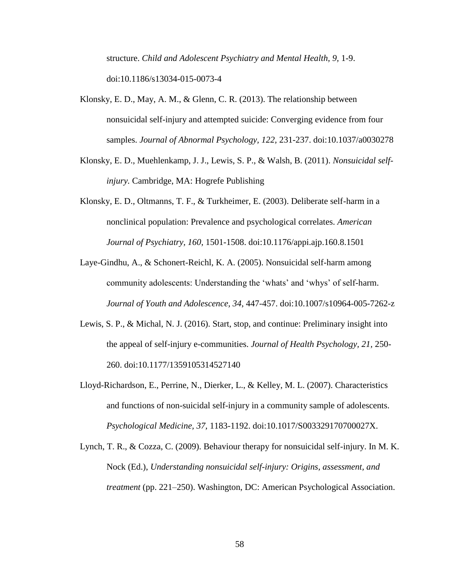structure. *Child and Adolescent Psychiatry and Mental Health, 9,* 1-9. doi:10.1186/s13034-015-0073-4

- Klonsky, E. D., May, A. M., & Glenn, C. R. (2013). The relationship between nonsuicidal self-injury and attempted suicide: Converging evidence from four samples. *Journal of Abnormal Psychology, 122,* 231-237. doi:10.1037/a0030278
- Klonsky, E. D., Muehlenkamp, J. J., Lewis, S. P., & Walsh, B. (2011). *Nonsuicidal selfinjury.* Cambridge, MA: Hogrefe Publishing
- Klonsky, E. D., Oltmanns, T. F., & Turkheimer, E. (2003). Deliberate self-harm in a nonclinical population: Prevalence and psychological correlates. *American Journal of Psychiatry, 160*, 1501-1508. doi:10.1176/appi.ajp.160.8.1501
- Laye-Gindhu, A., & Schonert-Reichl, K. A. (2005). Nonsuicidal self-harm among community adolescents: Understanding the 'whats' and 'whys' of self-harm. *Journal of Youth and Adolescence, 34*, 447-457. doi:10.1007/s10964-005-7262-z
- Lewis, S. P., & Michal, N. J. (2016). Start, stop, and continue: Preliminary insight into the appeal of self-injury e-communities. *Journal of Health Psychology, 21,* 250- 260. doi:10.1177/1359105314527140
- Lloyd-Richardson, E., Perrine, N., Dierker, L., & Kelley, M. L. (2007). Characteristics and functions of non-suicidal self-injury in a community sample of adolescents. *Psychological Medicine, 37,* 1183-1192. doi:10.1017/S003329170700027X.
- Lynch, T. R., & Cozza, C. (2009). Behaviour therapy for nonsuicidal self-injury. In M. K. Nock (Ed.), *Understanding nonsuicidal self-injury: Origins, assessment, and treatment* (pp. 221–250). Washington, DC: American Psychological Association.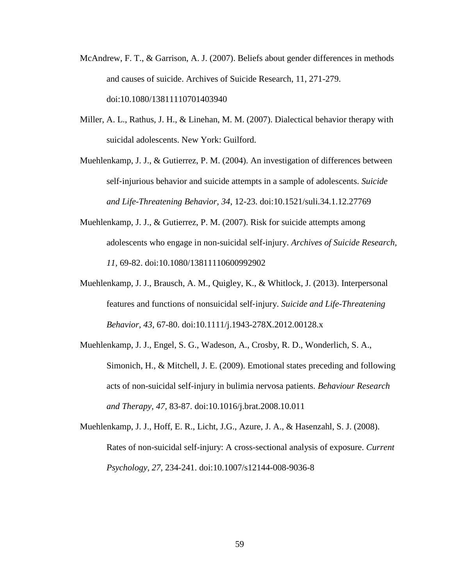- McAndrew, F. T., & Garrison, A. J. (2007). Beliefs about gender differences in methods and causes of suicide. Archives of Suicide Research, 11, 271-279. doi:10.1080/13811110701403940
- Miller, A. L., Rathus, J. H., & Linehan, M. M. (2007). Dialectical behavior therapy with suicidal adolescents. New York: Guilford.
- Muehlenkamp, J. J., & Gutierrez, P. M. (2004). An investigation of differences between self‐injurious behavior and suicide attempts in a sample of adolescents. *Suicide and Life-Threatening Behavior, 34*, 12-23. doi:10.1521/suli.34.1.12.27769
- Muehlenkamp, J. J., & Gutierrez, P. M. (2007). Risk for suicide attempts among adolescents who engage in non-suicidal self-injury. *Archives of Suicide Research, 11,* 69-82. doi:10.1080/13811110600992902
- Muehlenkamp, J. J., Brausch, A. M., Quigley, K., & Whitlock, J. (2013). Interpersonal features and functions of nonsuicidal self‐injury. *Suicide and Life-Threatening Behavior, 43*, 67-80. doi:10.1111/j.1943-278X.2012.00128.x
- Muehlenkamp, J. J., Engel, S. G., Wadeson, A., Crosby, R. D., Wonderlich, S. A., Simonich, H., & Mitchell, J. E. (2009). Emotional states preceding and following acts of non-suicidal self-injury in bulimia nervosa patients. *Behaviour Research and Therapy, 47,* 83-87. doi:10.1016/j.brat.2008.10.011
- Muehlenkamp, J. J., Hoff, E. R., Licht, J.G., Azure, J. A., & Hasenzahl, S. J. (2008). Rates of non-suicidal self-injury: A cross-sectional analysis of exposure. *Current Psychology, 27,* 234-241. doi:10.1007/s12144-008-9036-8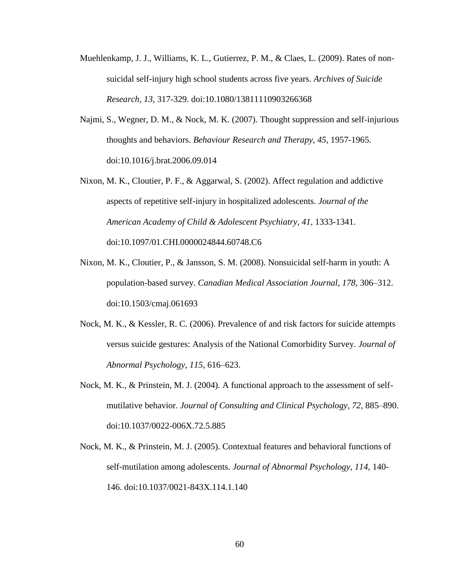- Muehlenkamp, J. J., Williams, K. L., Gutierrez, P. M., & Claes, L. (2009). Rates of nonsuicidal self-injury high school students across five years. *Archives of Suicide Research, 13*, 317-329. doi:10.1080/13811110903266368
- Najmi, S., Wegner, D. M., & Nock, M. K. (2007). Thought suppression and self-injurious thoughts and behaviors. *Behaviour Research and Therapy, 45,* 1957-1965. doi:10.1016/j.brat.2006.09.014
- Nixon, M. K., Cloutier, P. F., & Aggarwal, S. (2002). Affect regulation and addictive aspects of repetitive self-injury in hospitalized adolescents. *Journal of the American Academy of Child & Adolescent Psychiatry, 41,* 1333-1341. doi:10.1097/01.CHI.0000024844.60748.C6
- Nixon, M. K., Cloutier, P., & Jansson, S. M. (2008). Nonsuicidal self-harm in youth: A population-based survey. *Canadian Medical Association Journal, 178,* 306–312. doi:10.1503/cmaj.061693
- Nock, M. K., & Kessler, R. C. (2006). Prevalence of and risk factors for suicide attempts versus suicide gestures: Analysis of the National Comorbidity Survey. *Journal of Abnormal Psychology, 115*, 616–623.
- Nock, M. K., & Prinstein, M. J. (2004). A functional approach to the assessment of selfmutilative behavior. *Journal of Consulting and Clinical Psychology, 72,* 885–890. doi:10.1037/0022-006X.72.5.885
- Nock, M. K., & Prinstein, M. J. (2005). Contextual features and behavioral functions of self-mutilation among adolescents. *Journal of Abnormal Psychology, 114,* 140- 146. doi:10.1037/0021-843X.114.1.140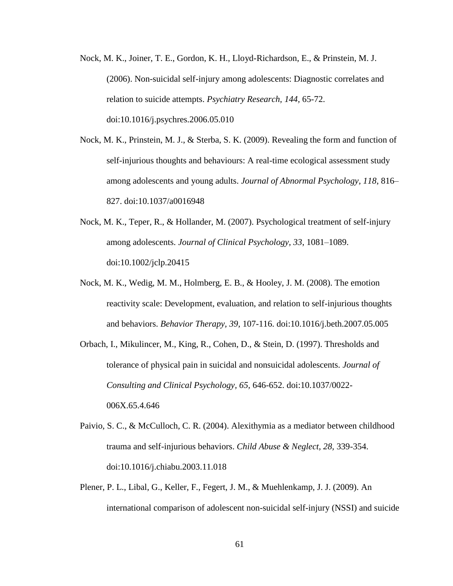- Nock, M. K., Joiner, T. E., Gordon, K. H., Lloyd-Richardson, E., & Prinstein, M. J. (2006). Non-suicidal self-injury among adolescents: Diagnostic correlates and relation to suicide attempts. *Psychiatry Research, 144,* 65-72. doi:10.1016/j.psychres.2006.05.010
- Nock, M. K., Prinstein, M. J., & Sterba, S. K. (2009). Revealing the form and function of self-injurious thoughts and behaviours: A real-time ecological assessment study among adolescents and young adults. *Journal of Abnormal Psychology, 118*, 816– 827. doi:10.1037/a0016948
- Nock, M. K., Teper, R., & Hollander, M. (2007). Psychological treatment of self-injury among adolescents. *Journal of Clinical Psychology, 33*, 1081–1089. doi:10.1002/jclp.20415
- Nock, M. K., Wedig, M. M., Holmberg, E. B., & Hooley, J. M. (2008). The emotion reactivity scale: Development, evaluation, and relation to self-injurious thoughts and behaviors. *Behavior Therapy, 39,* 107-116. doi:10.1016/j.beth.2007.05.005
- Orbach, I., Mikulincer, M., King, R., Cohen, D., & Stein, D. (1997). Thresholds and tolerance of physical pain in suicidal and nonsuicidal adolescents. *Journal of Consulting and Clinical Psychology, 65,* 646-652. doi:10.1037/0022- 006X.65.4.646
- Paivio, S. C., & McCulloch, C. R. (2004). Alexithymia as a mediator between childhood trauma and self-injurious behaviors. *Child Abuse & Neglect, 28,* 339-354. doi:10.1016/j.chiabu.2003.11.018
- Plener, P. L., Libal, G., Keller, F., Fegert, J. M., & Muehlenkamp, J. J. (2009). An international comparison of adolescent non-suicidal self-injury (NSSI) and suicide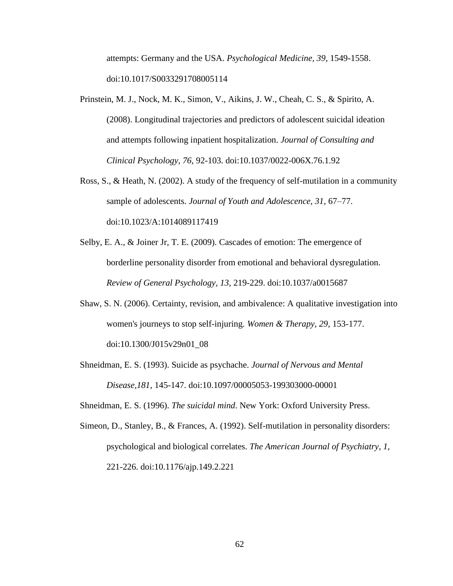attempts: Germany and the USA. *Psychological Medicine, 39*, 1549-1558. doi:10.1017/S0033291708005114

- Prinstein, M. J., Nock, M. K., Simon, V., Aikins, J. W., Cheah, C. S., & Spirito, A. (2008). Longitudinal trajectories and predictors of adolescent suicidal ideation and attempts following inpatient hospitalization. *Journal of Consulting and Clinical Psychology, 76,* 92-103. doi:10.1037/0022-006X.76.1.92
- Ross, S., & Heath, N. (2002). A study of the frequency of self-mutilation in a community sample of adolescents. *Journal of Youth and Adolescence, 31*, 67–77. doi:10.1023/A:1014089117419
- Selby, E. A., & Joiner Jr, T. E. (2009). Cascades of emotion: The emergence of borderline personality disorder from emotional and behavioral dysregulation. *Review of General Psychology, 13,* 219-229. doi:10.1037/a0015687
- Shaw, S. N. (2006). Certainty, revision, and ambivalence: A qualitative investigation into women's journeys to stop self-injuring. *Women & Therapy, 29,* 153-177. doi:10.1300/J015v29n01\_08
- Shneidman, E. S. (1993). Suicide as psychache. *Journal of Nervous and Mental Disease,181*, 145-147. doi:10.1097/00005053-199303000-00001

Shneidman, E. S. (1996). *The suicidal mind*. New York: Oxford University Press.

Simeon, D., Stanley, B., & Frances, A. (1992). Self-mutilation in personality disorders: psychological and biological correlates. *The American Journal of Psychiatry, 1,* 221-226. doi:10.1176/ajp.149.2.221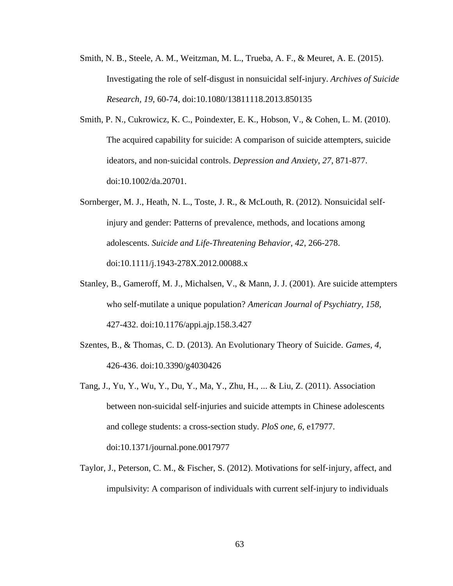- Smith, N. B., Steele, A. M., Weitzman, M. L., Trueba, A. F., & Meuret, A. E. (2015). Investigating the role of self-disgust in nonsuicidal self-injury. *Archives of Suicide Research, 19*, 60-74, doi:10.1080/13811118.2013.850135
- Smith, P. N., Cukrowicz, K. C., Poindexter, E. K., Hobson, V., & Cohen, L. M. (2010). The acquired capability for suicide: A comparison of suicide attempters, suicide ideators, and non‐suicidal controls. *Depression and Anxiety, 27*, 871-877. doi:10.1002/da.20701.
- Sornberger, M. J., Heath, N. L., Toste, J. R., & McLouth, R. (2012). Nonsuicidal self‐ injury and gender: Patterns of prevalence, methods, and locations among adolescents. *Suicide and Life-Threatening Behavior, 42*, 266-278. doi:10.1111/j.1943-278X.2012.00088.x
- Stanley, B., Gameroff, M. J., Michalsen, V., & Mann, J. J. (2001). Are suicide attempters who self-mutilate a unique population? *American Journal of Psychiatry, 158,* 427-432. doi:10.1176/appi.ajp.158.3.427
- Szentes, B., & Thomas, C. D. (2013). An Evolutionary Theory of Suicide. *Games, 4,* 426-436. doi:10.3390/g4030426
- Tang, J., Yu, Y., Wu, Y., Du, Y., Ma, Y., Zhu, H., ... & Liu, Z. (2011). Association between non-suicidal self-injuries and suicide attempts in Chinese adolescents and college students: a cross-section study. *PloS one, 6*, e17977. doi:10.1371/journal.pone.0017977
- Taylor, J., Peterson, C. M., & Fischer, S. (2012). Motivations for self‐injury, affect, and impulsivity: A comparison of individuals with current self‐injury to individuals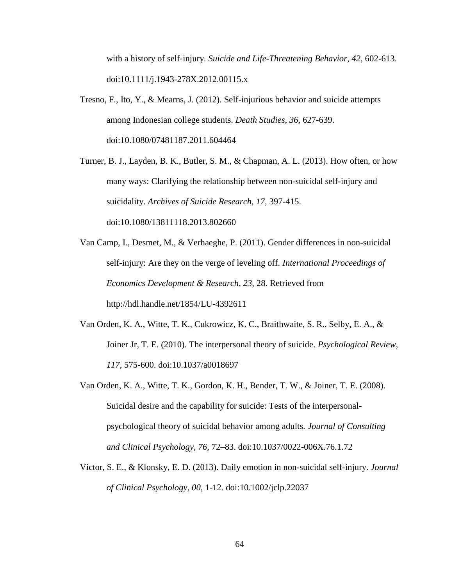with a history of self‐injury*. Suicide and Life-Threatening Behavior, 42*, 602-613. doi:10.1111/j.1943-278X.2012.00115.x

Tresno, F., Ito, Y., & Mearns, J. (2012). Self-injurious behavior and suicide attempts among Indonesian college students. *Death Studies, 36,* 627-639. doi:10.1080/07481187.2011.604464

Turner, B. J., Layden, B. K., Butler, S. M., & Chapman, A. L. (2013). How often, or how many ways: Clarifying the relationship between non-suicidal self-injury and suicidality. *Archives of Suicide Research, 17,* 397-415. doi:10.1080/13811118.2013.802660

Van Camp, I., Desmet, M., & Verhaeghe, P. (2011). Gender differences in non-suicidal self-injury: Are they on the verge of leveling off. *International Proceedings of Economics Development & Research, 23,* 28. Retrieved from http://hdl.handle.net/1854/LU-4392611

- Van Orden, K. A., Witte, T. K., Cukrowicz, K. C., Braithwaite, S. R., Selby, E. A., & Joiner Jr, T. E. (2010). The interpersonal theory of suicide. *Psychological Review, 117,* 575-600. doi:10.1037/a0018697
- Van Orden, K. A., Witte, T. K., Gordon, K. H., Bender, T. W., & Joiner, T. E. (2008). Suicidal desire and the capability for suicide: Tests of the interpersonalpsychological theory of suicidal behavior among adults*. Journal of Consulting and Clinical Psychology, 76,* 72–83. doi:10.1037/0022-006X.76.1.72
- Victor, S. E., & Klonsky, E. D. (2013). Daily emotion in non-suicidal self-injury. *Journal of Clinical Psychology, 00,* 1-12. doi:10.1002/jclp.22037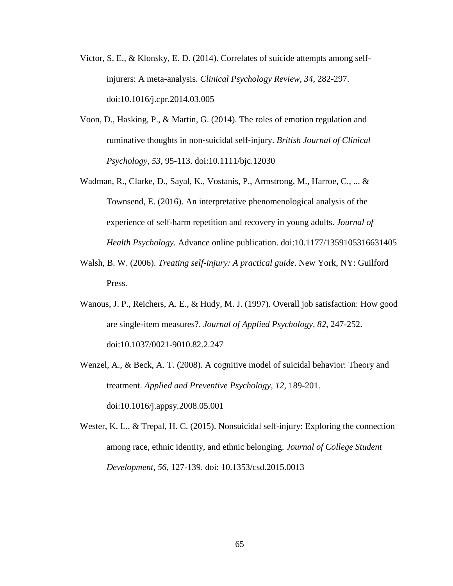- Victor, S. E., & Klonsky, E. D. (2014). Correlates of suicide attempts among selfinjurers: A meta-analysis. *Clinical Psychology Review, 34,* 282-297. doi:10.1016/j.cpr.2014.03.005
- Voon, D., Hasking, P., & Martin, G. (2014). The roles of emotion regulation and ruminative thoughts in non‐suicidal self‐injury. *British Journal of Clinical Psychology, 53,* 95-113. doi:10.1111/bjc.12030
- Wadman, R., Clarke, D., Sayal, K., Vostanis, P., Armstrong, M., Harroe, C., ... & Townsend, E. (2016). An interpretative phenomenological analysis of the experience of self-harm repetition and recovery in young adults. *Journal of Health Psychology.* Advance online publication. doi:10.1177/1359105316631405
- Walsh, B. W. (2006). *Treating self-injury: A practical guide*. New York, NY: Guilford Press.
- Wanous, J. P., Reichers, A. E., & Hudy, M. J. (1997). Overall job satisfaction: How good are single-item measures?. *Journal of Applied Psychology, 82*, 247-252. doi:10.1037/0021-9010.82.2.247
- Wenzel, A., & Beck, A. T. (2008). A cognitive model of suicidal behavior: Theory and treatment. *Applied and Preventive Psychology, 12,* 189-201. doi:10.1016/j.appsy.2008.05.001
- Wester, K. L., & Trepal, H. C. (2015). Nonsuicidal self-injury: Exploring the connection among race, ethnic identity, and ethnic belonging. *Journal of College Student Development, 56*, 127-139. doi: 10.1353/csd.2015.0013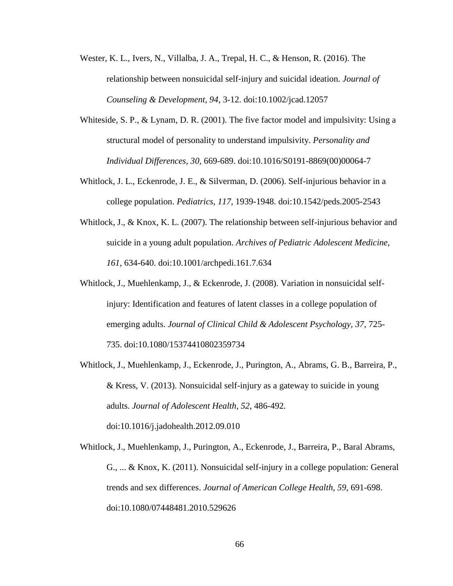- Wester, K. L., Ivers, N., Villalba, J. A., Trepal, H. C., & Henson, R. (2016). The relationship between nonsuicidal self‐injury and suicidal ideation. *Journal of Counseling & Development, 94*, 3-12. doi:10.1002/jcad.12057
- Whiteside, S. P., & Lynam, D. R. (2001). The five factor model and impulsivity: Using a structural model of personality to understand impulsivity. *Personality and Individual Differences, 30,* 669-689. doi:10.1016/S0191-8869(00)00064-7
- Whitlock, J. L., Eckenrode, J. E., & Silverman, D. (2006). Self-injurious behavior in a college population. *Pediatrics, 117,* 1939-1948. doi:10.1542/peds.2005-2543
- Whitlock, J., & Knox, K. L. (2007). The relationship between self-injurious behavior and suicide in a young adult population. *Archives of Pediatric Adolescent Medicine, 161,* 634-640. doi:10.1001/archpedi.161.7.634
- Whitlock, J., Muehlenkamp, J., & Eckenrode, J. (2008). Variation in nonsuicidal selfinjury: Identification and features of latent classes in a college population of emerging adults. *Journal of Clinical Child & Adolescent Psychology, 37,* 725- 735. doi:10.1080/15374410802359734
- Whitlock, J., Muehlenkamp, J., Eckenrode, J., Purington, A., Abrams, G. B., Barreira, P., & Kress, V. (2013). Nonsuicidal self-injury as a gateway to suicide in young adults. *Journal of Adolescent Health*, *52*, 486-492. doi:10.1016/j.jadohealth.2012.09.010

Whitlock, J., Muehlenkamp, J., Purington, A., Eckenrode, J., Barreira, P., Baral Abrams, G., ... & Knox, K. (2011). Nonsuicidal self-injury in a college population: General trends and sex differences. *Journal of American College Health, 59,* 691-698. doi:10.1080/07448481.2010.529626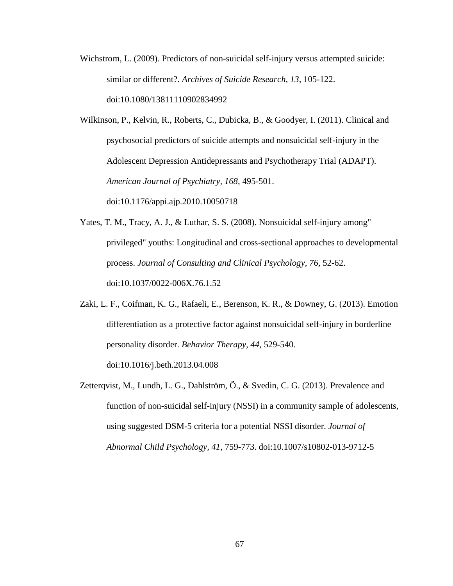Wichstrom, L. (2009). Predictors of non-suicidal self-injury versus attempted suicide: similar or different?. *Archives of Suicide Research, 13*, 105-122. doi:10.1080/13811110902834992

Wilkinson, P., Kelvin, R., Roberts, C., Dubicka, B., & Goodyer, I. (2011). Clinical and psychosocial predictors of suicide attempts and nonsuicidal self-injury in the Adolescent Depression Antidepressants and Psychotherapy Trial (ADAPT). *American Journal of Psychiatry, 168,* 495-501. doi:10.1176/appi.ajp.2010.10050718

- Yates, T. M., Tracy, A. J., & Luthar, S. S. (2008). Nonsuicidal self-injury among" privileged" youths: Longitudinal and cross-sectional approaches to developmental process. *Journal of Consulting and Clinical Psychology, 76,* 52-62. doi:10.1037/0022-006X.76.1.52
- Zaki, L. F., Coifman, K. G., Rafaeli, E., Berenson, K. R., & Downey, G. (2013). Emotion differentiation as a protective factor against nonsuicidal self-injury in borderline personality disorder. *Behavior Therapy, 44,* 529-540. doi:10.1016/j.beth.2013.04.008

Zetterqvist, M., Lundh, L. G., Dahlström, Ö., & Svedin, C. G. (2013). Prevalence and function of non-suicidal self-injury (NSSI) in a community sample of adolescents, using suggested DSM-5 criteria for a potential NSSI disorder. *Journal of Abnormal Child Psychology, 41,* 759-773. doi:10.1007/s10802-013-9712-5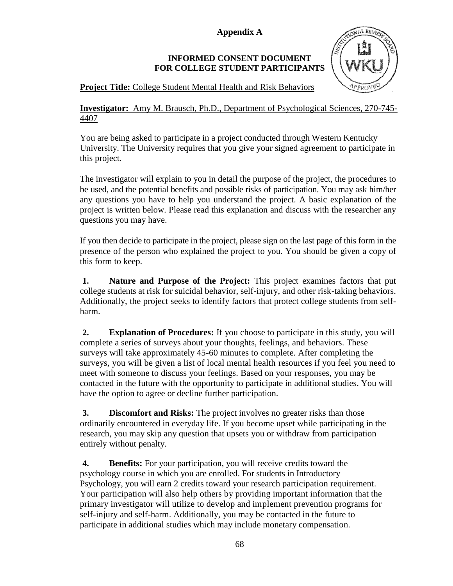**Appendix A**

# **INFORMED CONSENT DOCUMENT FOR COLLEGE STUDENT PARTICIPANTS**



**Project Title:** College Student Mental Health and Risk Behaviors

# **Investigator:** Amy M. Brausch, Ph.D., Department of Psychological Sciences, 270-745- 4407

You are being asked to participate in a project conducted through Western Kentucky University. The University requires that you give your signed agreement to participate in this project.

The investigator will explain to you in detail the purpose of the project, the procedures to be used, and the potential benefits and possible risks of participation. You may ask him/her any questions you have to help you understand the project. A basic explanation of the project is written below. Please read this explanation and discuss with the researcher any questions you may have.

If you then decide to participate in the project, please sign on the last page of this form in the presence of the person who explained the project to you. You should be given a copy of this form to keep.

**1. Nature and Purpose of the Project:** This project examines factors that put college students at risk for suicidal behavior, self-injury, and other risk-taking behaviors. Additionally, the project seeks to identify factors that protect college students from selfharm.

**2. Explanation of Procedures:** If you choose to participate in this study, you will complete a series of surveys about your thoughts, feelings, and behaviors. These surveys will take approximately 45-60 minutes to complete. After completing the surveys, you will be given a list of local mental health resources if you feel you need to meet with someone to discuss your feelings. Based on your responses, you may be contacted in the future with the opportunity to participate in additional studies. You will have the option to agree or decline further participation.

**3. Discomfort and Risks:** The project involves no greater risks than those ordinarily encountered in everyday life. If you become upset while participating in the research, you may skip any question that upsets you or withdraw from participation entirely without penalty.

**4. Benefits:** For your participation, you will receive credits toward the psychology course in which you are enrolled. For students in Introductory Psychology, you will earn 2 credits toward your research participation requirement. Your participation will also help others by providing important information that the primary investigator will utilize to develop and implement prevention programs for self-injury and self-harm. Additionally, you may be contacted in the future to participate in additional studies which may include monetary compensation.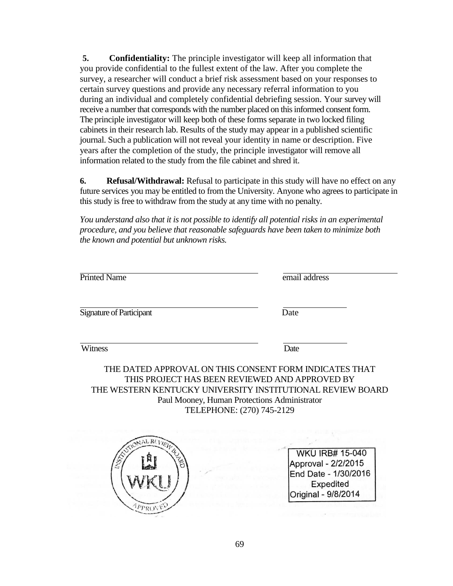**5. Confidentiality:** The principle investigator will keep all information that you provide confidential to the fullest extent of the law. After you complete the survey, a researcher will conduct a brief risk assessment based on your responses to certain survey questions and provide any necessary referral information to you during an individual and completely confidential debriefing session. Your survey will receive a number that corresponds with the number placed on this informed consent form. The principle investigator will keep both of these forms separate in two locked filing cabinets in their research lab. Results of the study may appear in a published scientific journal. Such a publication will not reveal your identity in name or description. Five years after the completion of the study, the principle investigator will remove all information related to the study from the file cabinet and shred it.

**6. Refusal/Withdrawal:** Refusal to participate in this study will have no effect on any future services you may be entitled to from the University. Anyone who agrees to participate in this study is free to withdraw from the study at any time with no penalty.

*You understand also that it is not possible to identify all potential risks in an experimental procedure, and you believe that reasonable safeguards have been taken to minimize both the known and potential but unknown risks.*

| <b>Printed Name</b>                                                                                                                                                                                                                                 | email address |
|-----------------------------------------------------------------------------------------------------------------------------------------------------------------------------------------------------------------------------------------------------|---------------|
| <b>Signature of Participant</b>                                                                                                                                                                                                                     | Date          |
| Witness                                                                                                                                                                                                                                             | Date          |
| THE DATED APPROVAL ON THIS CONSENT FORM INDICATES THAT<br>THIS PROJECT HAS BEEN REVIEWED AND APPROVED BY<br>THE WESTERN KENTUCKY UNIVERSITY INSTITUTIONAL REVIEW BOARD<br>Paul Mooney, Human Protections Administrator<br>TELEPHONE: (270) 745-2129 |               |



**WKU IRB# 15-040** Approval - 2/2/2015 End Date - 1/30/2016 Expedited Original - 9/8/2014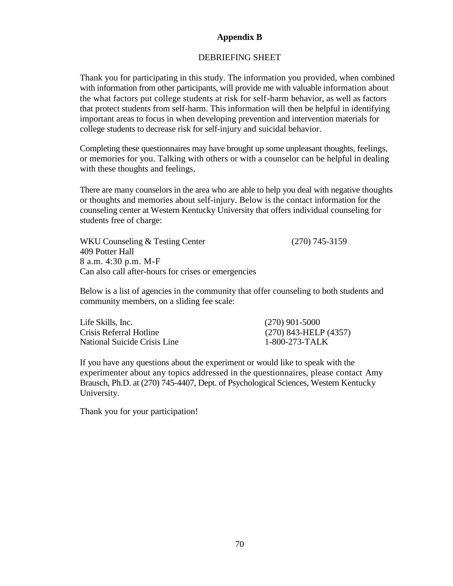# **Appendix B**

### DEBRIEFING SHEET

Thank you for participating in this study. The information you provided, when combined with information from other participants, will provide me with valuable information about the what factors put college students at risk for self-harm behavior, as well as factors that protect students from self-harm. This information will then be helpful in identifying important areas to focus in when developing prevention and intervention materials for college students to decrease risk for self-injury and suicidal behavior.

Completing these questionnaires may have brought up some unpleasant thoughts, feelings, or memories for you. Talking with others or with a counselor can be helpful in dealing with these thoughts and feelings,

There are many counselors in the area who are able to help you deal with negative thoughts or thoughts and memories about self-injury. Below is the contact information for the counseling center at Western Kentucky University that offers individual counseling for students free of charge:

WKU Counseling & Testing Center (270) 745-3159 409 Potter Hall 8 a.m. 4:30 p.m. M-F Can also call after-hours for crises or emergencies

Below is a list of agencies in the community that offer counseling to both students and community members, on a sliding fee scale:

| Life Skills, Inc.            | $(270)$ 901-5000          |
|------------------------------|---------------------------|
| Crisis Referral Hotline      | $(270)$ 843-HELP $(4357)$ |
| National Suicide Crisis Line | $1-800-273-TALK$          |

If you have any questions about the experiment or would like to speak with the experimenter about any topics addressed in the questionnaires, please contact Amy Brausch, Ph.D. at (270) 745-4407, Dept. of Psychological Sciences, Western Kentucky University.

Thank you for your participation!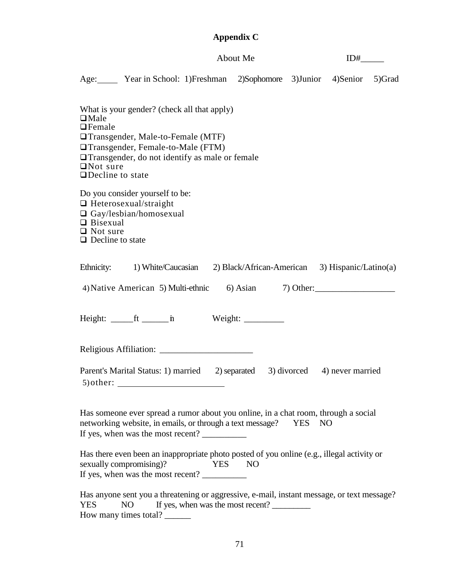| Appendix C                                                                                                                                                                                                                                                       |  |
|------------------------------------------------------------------------------------------------------------------------------------------------------------------------------------------------------------------------------------------------------------------|--|
| About Me<br>$ID#$ <sub>_______</sub>                                                                                                                                                                                                                             |  |
| Age: Year in School: 1)Freshman 2)Sophomore 3)Junior 4)Senior<br>5)Grad                                                                                                                                                                                          |  |
| What is your gender? (check all that apply)<br>$\Box$ Male<br>$\Box$ Female<br>□ Transgender, Male-to-Female (MTF)<br>□ Transgender, Female-to-Male (FTM)<br>$\Box$ Transgender, do not identify as male or female<br>$\Box$ Not sure<br>$\Box$ Decline to state |  |
| Do you consider yourself to be:<br>$\Box$ Heterosexual/straight<br>$\Box$ Gay/lesbian/homosexual<br>$\Box$ Bisexual<br>$\Box$ Not sure<br>$\Box$ Decline to state                                                                                                |  |
| Ethnicity: 1) White/Caucasian 2) Black/African-American 3) Hispanic/Latino(a)<br>4) Native American 5) Multi-ethnic 6) Asian 7) Other:                                                                                                                           |  |
| Height: $f(x)$ ft $f(x)$ in<br>Weight:                                                                                                                                                                                                                           |  |
| Religious Affiliation:                                                                                                                                                                                                                                           |  |
| Parent's Marital Status: 1) married 2) separated 3) divorced 4) never married                                                                                                                                                                                    |  |
| Has someone ever spread a rumor about you online, in a chat room, through a social<br>networking website, in emails, or through a text message? YES NO<br>If yes, when was the most recent?                                                                      |  |
| Has there even been an inappropriate photo posted of you online (e.g., illegal activity or<br>sexually compromising)?<br>YES NO<br>If yes, when was the most recent?                                                                                             |  |
| Has anyone sent you a threatening or aggressive, e-mail, instant message, or text message?<br>If yes, when was the most recent?<br>N <sub>O</sub><br><b>YES</b><br>How many times total?                                                                         |  |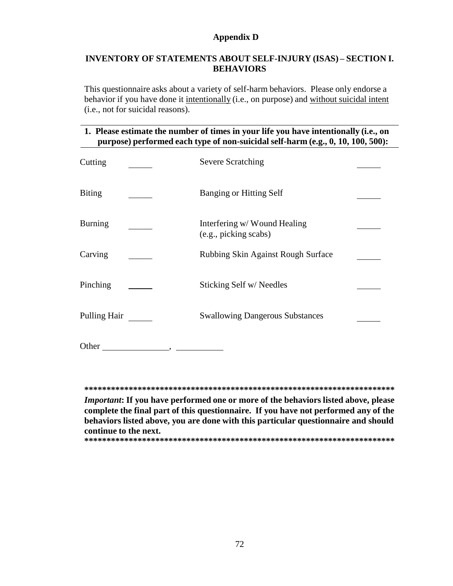# **Appendix D**

# **INVENTORY OF STATEMENTS ABOUT SELF-INJURY (ISAS) – SECTION I. BEHAVIORS**

This questionnaire asks about a variety of self-harm behaviors. Please only endorse a behavior if you have done it intentionally (i.e., on purpose) and without suicidal intent (i.e., not for suicidal reasons).

# **1. Please estimate the number of times in your life you have intentionally (i.e., on purpose) performed each type of non-suicidal self-harm (e.g., 0, 10, 100, 500):**

| Cutting        | <b>Severe Scratching</b>                             |  |
|----------------|------------------------------------------------------|--|
| <b>Biting</b>  | <b>Banging or Hitting Self</b>                       |  |
| <b>Burning</b> | Interfering w/Wound Healing<br>(e.g., picking scabs) |  |
| Carving        | Rubbing Skin Against Rough Surface                   |  |
| Pinching       | Sticking Self w/Needles                              |  |
| Pulling Hair   | <b>Swallowing Dangerous Substances</b>               |  |
| Other          |                                                      |  |

**\*\*\*\*\*\*\*\*\*\*\*\*\*\*\*\*\*\*\*\*\*\*\*\*\*\*\*\*\*\*\*\*\*\*\*\*\*\*\*\*\*\*\*\*\*\*\*\*\*\*\*\*\*\*\*\*\*\*\*\*\*\*\*\*\*\*\*\*\*\***

*Important***: If you have performed one or more of the behaviors listed above, please complete the final part of this questionnaire. If you have not performed any of the behaviors listed above, you are done with this particular questionnaire and should continue to the next.**

**\*\*\*\*\*\*\*\*\*\*\*\*\*\*\*\*\*\*\*\*\*\*\*\*\*\*\*\*\*\*\*\*\*\*\*\*\*\*\*\*\*\*\*\*\*\*\*\*\*\*\*\*\*\*\*\*\*\*\*\*\*\*\*\*\*\*\*\*\*\***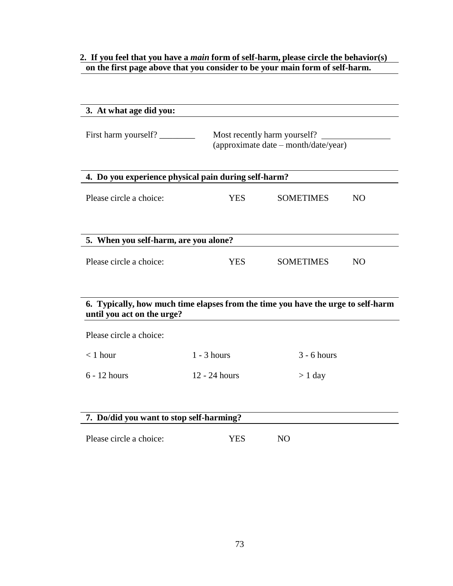# **2. If you feel that you have a** *main* **form of self-harm, please circle the behavior(s) on the first page above that you consider to be your main form of self-harm.**

| 3. At what age did you:                                                          |               |                                                                      |           |
|----------------------------------------------------------------------------------|---------------|----------------------------------------------------------------------|-----------|
| First harm yourself?                                                             |               | Most recently harm yourself?<br>(approximate date - month/date/year) |           |
| 4. Do you experience physical pain during self-harm?                             |               |                                                                      |           |
|                                                                                  |               |                                                                      |           |
| Please circle a choice:                                                          | <b>YES</b>    | <b>SOMETIMES</b>                                                     | <b>NO</b> |
|                                                                                  |               |                                                                      |           |
| 5. When you self-harm, are you alone?                                            |               |                                                                      |           |
| Please circle a choice:                                                          | <b>YES</b>    | SOMETIMES                                                            | NO.       |
| 6. Typically, how much time elapses from the time you have the urge to self-harm |               |                                                                      |           |
| until you act on the urge?                                                       |               |                                                                      |           |
| Please circle a choice:                                                          |               |                                                                      |           |
| $<$ 1 hour                                                                       | $1 - 3$ hours | $3 - 6$ hours                                                        |           |
| $6 - 12$ hours                                                                   | 12 - 24 hours | $> 1$ day                                                            |           |
|                                                                                  |               |                                                                      |           |
| 7. Do/did you want to stop self-harming?                                         |               |                                                                      |           |
|                                                                                  |               |                                                                      |           |
| Please circle a choice:                                                          | <b>YES</b>    | N <sub>O</sub>                                                       |           |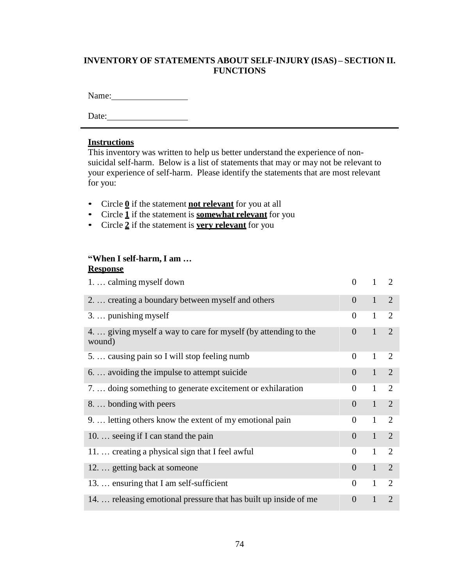# **INVENTORY OF STATEMENTS ABOUT SELF-INJURY (ISAS) – SECTION II. FUNCTIONS**

Name:

Date:

#### **Instructions**

This inventory was written to help us better understand the experience of nonsuicidal self-harm. Below is a list of statements that may or may not be relevant to your experience of self-harm. Please identify the statements that are most relevant for you:

- Circle **0** if the statement **not relevant** for you at all
- Circle **1** if the statement is **somewhat relevant** for you
- Circle **2** if the statement is **very relevant** for you

# **"When I self-harm, I am …**

#### **Response**

| 1.  calming myself down                                                   | $\theta$       | $\mathbf{1}$ | $\overline{2}$ |
|---------------------------------------------------------------------------|----------------|--------------|----------------|
| 2.  creating a boundary between myself and others                         | $\Omega$       | $\mathbf{1}$ | $\overline{2}$ |
| $3. \ldots$ punishing myself                                              | 0              | $\mathbf{1}$ | 2              |
| 4.  giving myself a way to care for myself (by attending to the<br>wound) | $\overline{0}$ | $\mathbf{1}$ | 2              |
| 5.  causing pain so I will stop feeling numb                              | $\theta$       | $\mathbf{1}$ | 2              |
| 6.  avoiding the impulse to attempt suicide                               | $\Omega$       | $\mathbf{1}$ | 2              |
| 7.  doing something to generate excitement or exhilaration                | $\overline{0}$ | $\mathbf{1}$ | 2              |
| 8.  bonding with peers                                                    | $\Omega$       | $\mathbf{1}$ | $\overline{2}$ |
| 9.  letting others know the extent of my emotional pain                   | $\Omega$       | $\mathbf{1}$ | 2              |
| 10.  seeing if I can stand the pain                                       | $\Omega$       | $\mathbf{1}$ | $\overline{2}$ |
| 11.  creating a physical sign that I feel awful                           | $\theta$       | $\mathbf{1}$ | 2              |
| 12.  getting back at someone                                              | $\overline{0}$ | $\mathbf{1}$ | 2              |
| 13.  ensuring that I am self-sufficient                                   | $\theta$       | $\mathbf{1}$ | 2              |
| 14.  releasing emotional pressure that has built up inside of me          | $\overline{0}$ | 1            | $\overline{2}$ |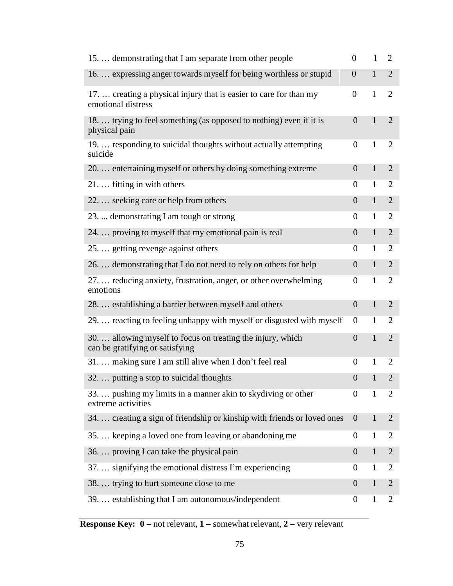| 15.  demonstrating that I am separate from other people                                        | $\boldsymbol{0}$ | $\mathbf{1}$ | $\overline{2}$ |
|------------------------------------------------------------------------------------------------|------------------|--------------|----------------|
| 16.  expressing anger towards myself for being worthless or stupid                             | $\overline{0}$   | $\mathbf{1}$ | $\overline{2}$ |
| 17.  creating a physical injury that is easier to care for than my<br>emotional distress       | $\boldsymbol{0}$ | $\mathbf{1}$ | $\overline{2}$ |
| 18.  trying to feel something (as opposed to nothing) even if it is<br>physical pain           | $\overline{0}$   | $\mathbf{1}$ | $\overline{2}$ |
| 19.  responding to suicidal thoughts without actually attempting<br>suicide                    | $\overline{0}$   | 1            | $\overline{2}$ |
| 20.  entertaining myself or others by doing something extreme                                  | $\overline{0}$   | $\mathbf{1}$ | $\overline{2}$ |
| 21.  fitting in with others                                                                    | 0                | $\mathbf{1}$ | $\overline{2}$ |
| 22.  seeking care or help from others                                                          | $\overline{0}$   | $\mathbf{1}$ | $\overline{2}$ |
| 23.  demonstrating I am tough or strong                                                        | $\boldsymbol{0}$ | $\mathbf{1}$ | $\overline{2}$ |
| 24.  proving to myself that my emotional pain is real                                          | $\overline{0}$   | $\mathbf{1}$ | $\overline{2}$ |
| 25.  getting revenge against others                                                            | $\boldsymbol{0}$ | $\mathbf{1}$ | $\overline{2}$ |
| 26.  demonstrating that I do not need to rely on others for help                               | $\overline{0}$   | $\mathbf{1}$ | $\overline{2}$ |
| 27.  reducing anxiety, frustration, anger, or other overwhelming<br>emotions                   | $\boldsymbol{0}$ | $\mathbf{1}$ | $\overline{2}$ |
| 28.  establishing a barrier between myself and others                                          | $\overline{0}$   | $\mathbf{1}$ | $\overline{2}$ |
| 29.  reacting to feeling unhappy with myself or disgusted with myself                          | $\boldsymbol{0}$ | $\mathbf{1}$ | 2              |
| 30.  allowing myself to focus on treating the injury, which<br>can be gratifying or satisfying | $\overline{0}$   | $\mathbf{1}$ | $\overline{2}$ |
| 31.  making sure I am still alive when I don't feel real                                       | 0                | 1            | $\overline{2}$ |
| 32.  putting a stop to suicidal thoughts                                                       | $\overline{0}$   | $\mathbf{1}$ | $\overline{2}$ |
| 33.  pushing my limits in a manner akin to skydiving or other<br>extreme activities            | $\overline{0}$   | 1            | $\overline{2}$ |
| 34.  creating a sign of friendship or kinship with friends or loved ones                       | $\overline{0}$   | $\mathbf{1}$ | $\overline{2}$ |
| 35.  keeping a loved one from leaving or abandoning me                                         | $\boldsymbol{0}$ | $\mathbf{1}$ | $\overline{2}$ |
| 36.  proving I can take the physical pain                                                      | $\overline{0}$   | $\mathbf{1}$ | $\overline{2}$ |
| 37.  signifying the emotional distress I'm experiencing                                        | $\theta$         | 1            | 2              |
| 38.  trying to hurt someone close to me                                                        | $\overline{0}$   | $\mathbf{1}$ | $\overline{2}$ |
| 39.  establishing that I am autonomous/independent                                             | $\boldsymbol{0}$ | $\mathbf{1}$ | 2              |

**Response Key: 0 –** not relevant, **1 –** somewhat relevant, **2 –** very relevant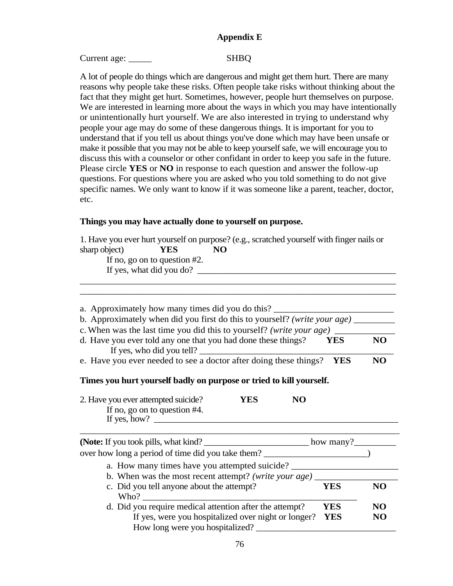# **Appendix E**

#### Current age: \_\_\_\_\_\_\_\_ SHBQ

A lot of people do things which are dangerous and might get them hurt. There are many reasons why people take these risks. Often people take risks without thinking about the fact that they might get hurt. Sometimes, however, people hurt themselves on purpose. We are interested in learning more about the ways in which you may have intentionally or unintentionally hurt yourself. We are also interested in trying to understand why people your age may do some of these dangerous things. It is important for you to understand that if you tell us about things you've done which may have been unsafe or make it possible that you may not be able to keep yourself safe, we will encourage you to discuss this with a counselor or other confidant in order to keep you safe in the future. Please circle **YES** or **NO** in response to each question and answer the follow-up questions. For questions where you are asked who you told something to do not give specific names. We only want to know if it was someone like a parent, teacher, doctor, etc.

#### **Things you may have actually done to yourself on purpose.**

|               |                                 |    | 1. Have you ever hurt yourself on purpose? (e.g., scratched yourself with finger nails or |
|---------------|---------------------------------|----|-------------------------------------------------------------------------------------------|
| sharp object) | YES                             | NO |                                                                                           |
|               | If no, go on to question $#2$ . |    |                                                                                           |
|               | If yes, what did you do?        |    |                                                                                           |
|               |                                 |    |                                                                                           |

\_\_\_\_\_\_\_\_\_\_\_\_\_\_\_\_\_\_\_\_\_\_\_\_\_\_\_\_\_\_\_\_\_\_\_\_\_\_\_\_\_\_\_\_\_\_\_\_\_\_\_\_\_\_\_\_\_\_\_\_\_\_\_\_\_\_\_\_\_\_

| a. Approximately how many times did you do this?                                |     |
|---------------------------------------------------------------------------------|-----|
| b. Approximately when did you first do this to yourself? (write your age)       |     |
| c. When was the last time you did this to yourself? (write your age)            |     |
| d. Have you ever told any one that you had done these things?<br><b>YES</b>     | NO. |
| If yes, who did you tell?                                                       |     |
| e. Have you ever needed to see a doctor after doing these things?<br><b>YES</b> | NO. |

# **Times you hurt yourself badly on purpose or tried to kill yourself.**

| 2. Have you ever attempted suicide? | YES | NO |  |
|-------------------------------------|-----|----|--|
| If no, go on to question $#4$ .     |     |    |  |
| If yes, how?                        |     |    |  |

| ( <b>Note:</b> If you took pills, what kind?            | how many? $\_\_$ |    |
|---------------------------------------------------------|------------------|----|
| over how long a period of time did you take them?       |                  |    |
| a. How many times have you attempted suicide?           |                  |    |
| b. When was the most recent attempt? (write your age)   |                  |    |
| c. Did you tell anyone about the attempt?               | YES              | NΩ |
| Who?                                                    |                  |    |
| d. Did you require medical attention after the attempt? | YES              | NO |
| If yes, were you hospitalized over night or longer?     | <b>YES</b>       | NO |
| How long were you hospitalized?                         |                  |    |

\_\_\_\_\_\_\_\_\_\_\_\_\_\_\_\_\_\_\_\_\_\_\_\_\_\_\_\_\_\_\_\_\_\_\_\_\_\_\_\_\_\_\_\_\_\_\_\_\_\_\_\_\_\_\_\_\_\_\_\_\_\_\_\_\_\_\_\_\_\_\_\_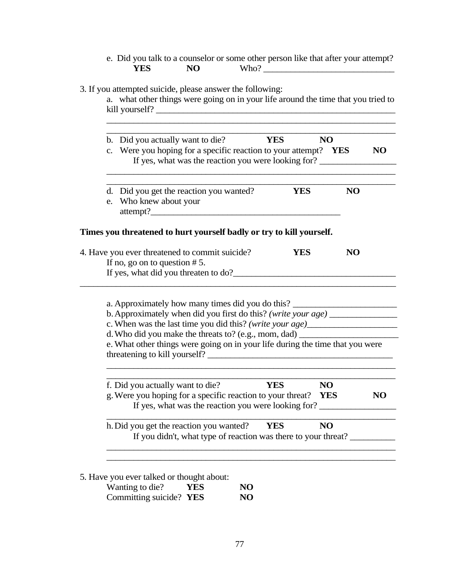|                                  | 3. If you attempted suicide, please answer the following:<br>a. what other things were going on in your life around the time that you tried to<br>kill yourself?                                                                                                                                                                                                                                                               |            |                  |                |
|----------------------------------|--------------------------------------------------------------------------------------------------------------------------------------------------------------------------------------------------------------------------------------------------------------------------------------------------------------------------------------------------------------------------------------------------------------------------------|------------|------------------|----------------|
|                                  | b. Did you actually want to die?<br>c. Were you hoping for a specific reaction to your attempt? YES<br>If yes, what was the reaction you were looking for?                                                                                                                                                                                                                                                                     | <b>YES</b> | <b>NO</b>        | <b>NO</b>      |
| e. Who knew about your           | d. Did you get the reaction you wanted?<br>attempt?                                                                                                                                                                                                                                                                                                                                                                            | <b>YES</b> | <b>NO</b>        |                |
|                                  | Times you threatened to hurt yourself badly or try to kill yourself.                                                                                                                                                                                                                                                                                                                                                           |            |                  |                |
|                                  |                                                                                                                                                                                                                                                                                                                                                                                                                                |            |                  |                |
| If no, go on to question $# 5$ . | 4. Have you ever threatened to commit suicide?<br>If yes, what did you threaten to do?                                                                                                                                                                                                                                                                                                                                         | <b>YES</b> | <b>NO</b>        |                |
|                                  | a. Approximately how many times did you do this?<br>b. Approximately when did you first do this? (write your age) __________________<br>c. When was the last time you did this? (write your age)________________________<br>d. Who did you make the threats to? (e.g., mom, dad) ___________________________<br>e. What other things were going on in your life during the time that you were<br>threatening to kill yourself? |            |                  |                |
|                                  | f. Did you actually want to die?<br>g. Were you hoping for a specific reaction to your threat?<br>If yes, what was the reaction you were looking for?                                                                                                                                                                                                                                                                          | <b>YES</b> | NO<br><b>YES</b> | N <sub>O</sub> |

5. Have you ever talked or thought about:

| Wanting to die?         | YES | NO. |
|-------------------------|-----|-----|
| Committing suicide? YES |     | NO. |